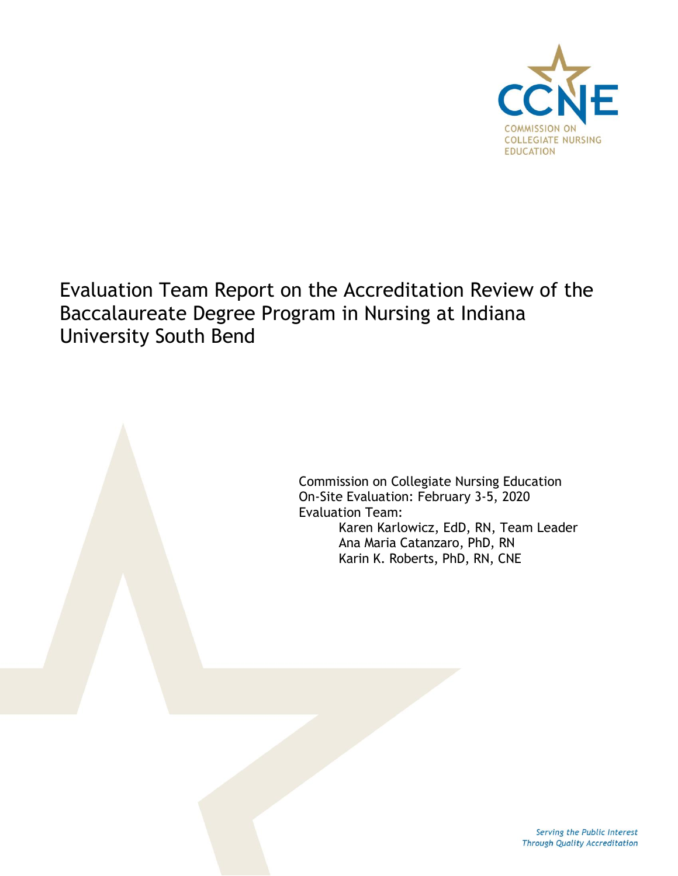

# Evaluation Team Report on the Accreditation Review of the Baccalaureate Degree Program in Nursing at Indiana University South Bend

Commission on Collegiate Nursing Education On-Site Evaluation: February 3-5, 2020 Evaluation Team: Karen Karlowicz, EdD, RN, Team Leader Ana Maria Catanzaro, PhD, RN Karin K. Roberts, PhD, RN, CNE

> Serving the Public Interest Through Quality Accreditation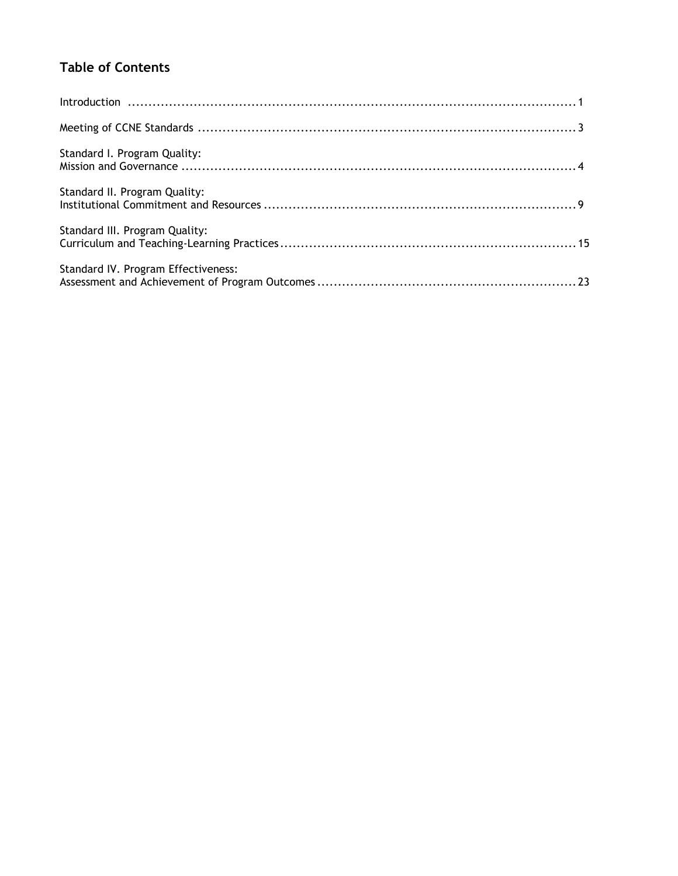## **Table of Contents**

| $\begin{minipage}{0.9\linewidth} \begin{minipage}{0.9\linewidth} \begin{minipage}{0.9\linewidth} \begin{minipage}{0.9\linewidth} \begin{minipage}{0.9\linewidth} \end{minipage} \end{minipage} \begin{minipage}{0.9\linewidth} \begin{minipage}{0.9\linewidth} \begin{minipage}{0.9\linewidth} \end{minipage} \end{minipage} \begin{minipage}{0.9\linewidth} \begin{minipage}{0.9\linewidth} \begin{minipage}{0.9\linewidth} \end{minipage} \end{minipage} \begin{minipage}{0.9\linewidth} \begin{minipage}{0.9\linewidth} \begin{minipage}{0.$ |
|-------------------------------------------------------------------------------------------------------------------------------------------------------------------------------------------------------------------------------------------------------------------------------------------------------------------------------------------------------------------------------------------------------------------------------------------------------------------------------------------------------------------------------------------------|
|                                                                                                                                                                                                                                                                                                                                                                                                                                                                                                                                                 |
| Standard I. Program Quality:                                                                                                                                                                                                                                                                                                                                                                                                                                                                                                                    |
| Standard II. Program Quality:                                                                                                                                                                                                                                                                                                                                                                                                                                                                                                                   |
| Standard III. Program Quality:                                                                                                                                                                                                                                                                                                                                                                                                                                                                                                                  |
| Standard IV. Program Effectiveness:                                                                                                                                                                                                                                                                                                                                                                                                                                                                                                             |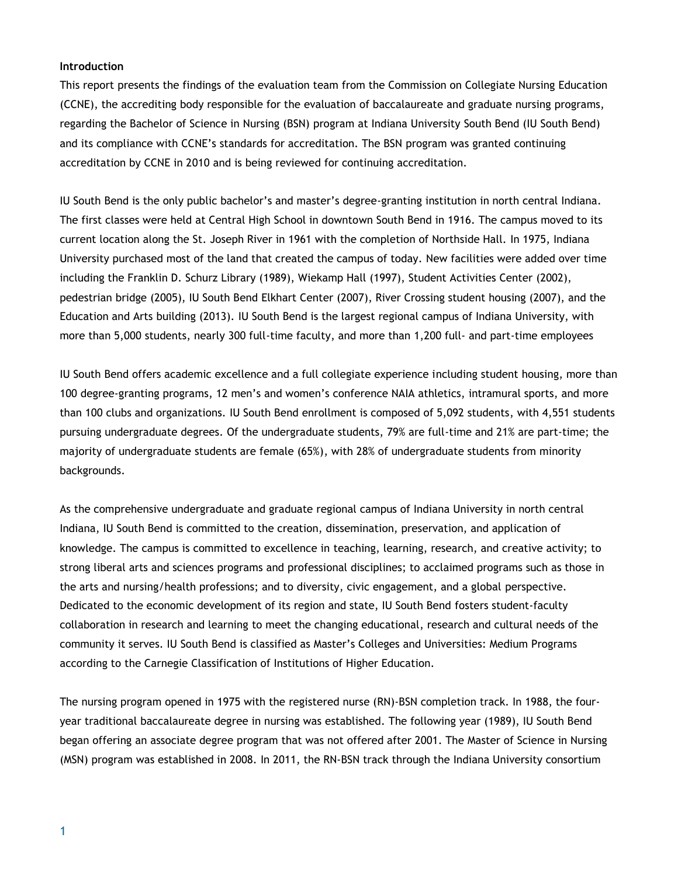#### **Introduction**

This report presents the findings of the evaluation team from the Commission on Collegiate Nursing Education (CCNE), the accrediting body responsible for the evaluation of baccalaureate and graduate nursing programs, regarding the Bachelor of Science in Nursing (BSN) program at Indiana University South Bend (IU South Bend) and its compliance with CCNE's standards for accreditation. The BSN program was granted continuing accreditation by CCNE in 2010 and is being reviewed for continuing accreditation.

IU South Bend is the only public bachelor's and master's degree-granting institution in north central Indiana. The first classes were held at Central High School in downtown South Bend in 1916. The campus moved to its current location along the St. Joseph River in 1961 with the completion of Northside Hall. In 1975, Indiana University purchased most of the land that created the campus of today. New facilities were added over time including the Franklin D. Schurz Library (1989), Wiekamp Hall (1997), Student Activities Center (2002), pedestrian bridge (2005), IU South Bend Elkhart Center (2007), River Crossing student housing (2007), and the Education and Arts building (2013). IU South Bend is the largest regional campus of Indiana University, with more than 5,000 students, nearly 300 full-time faculty, and more than 1,200 full- and part-time employees

IU South Bend offers academic excellence and a full collegiate experience including student housing, more than 100 degree-granting programs, 12 men's and women's conference NAIA athletics, intramural sports, and more than 100 clubs and organizations. IU South Bend enrollment is composed of 5,092 students, with 4,551 students pursuing undergraduate degrees. Of the undergraduate students, 79% are full-time and 21% are part-time; the majority of undergraduate students are female (65%), with 28% of undergraduate students from minority backgrounds.

As the comprehensive undergraduate and graduate regional campus of Indiana University in north central Indiana, IU South Bend is committed to the creation, dissemination, preservation, and application of knowledge. The campus is committed to excellence in teaching, learning, research, and creative activity; to strong liberal arts and sciences programs and professional disciplines; to acclaimed programs such as those in the arts and nursing/health professions; and to diversity, civic engagement, and a global perspective. Dedicated to the economic development of its region and state, IU South Bend fosters student-faculty collaboration in research and learning to meet the changing educational, research and cultural needs of the community it serves. IU South Bend is classified as Master's Colleges and Universities: Medium Programs according to the Carnegie Classification of Institutions of Higher Education.

The nursing program opened in 1975 with the registered nurse (RN)-BSN completion track. In 1988, the fouryear traditional baccalaureate degree in nursing was established. The following year (1989), IU South Bend began offering an associate degree program that was not offered after 2001. The Master of Science in Nursing (MSN) program was established in 2008. In 2011, the RN-BSN track through the Indiana University consortium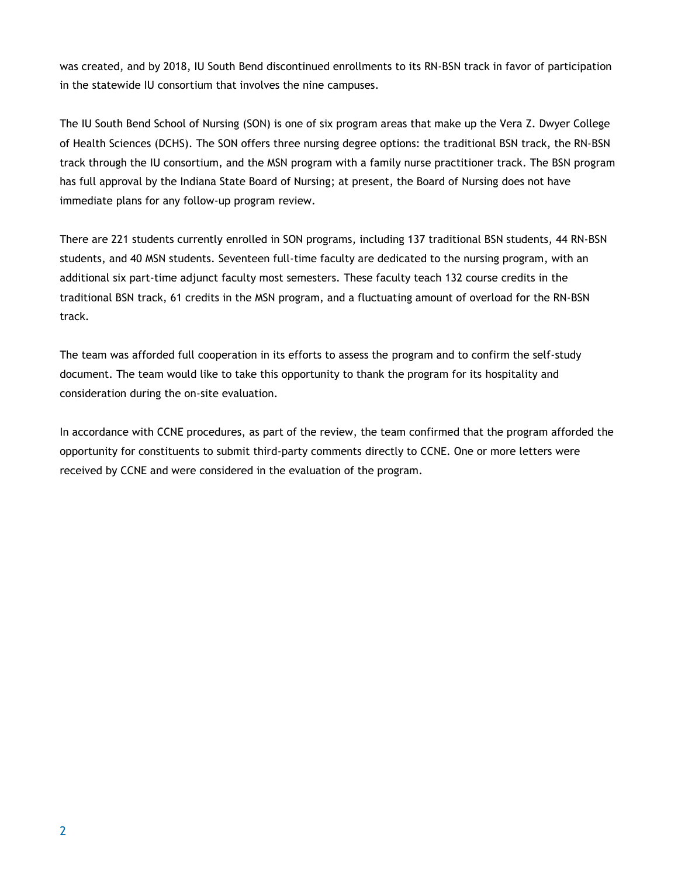was created, and by 2018, IU South Bend discontinued enrollments to its RN-BSN track in favor of participation in the statewide IU consortium that involves the nine campuses.

The IU South Bend School of Nursing (SON) is one of six program areas that make up the Vera Z. Dwyer College of Health Sciences (DCHS). The SON offers three nursing degree options: the traditional BSN track, the RN-BSN track through the IU consortium, and the MSN program with a family nurse practitioner track. The BSN program has full approval by the Indiana State Board of Nursing; at present, the Board of Nursing does not have immediate plans for any follow-up program review.

There are 221 students currently enrolled in SON programs, including 137 traditional BSN students, 44 RN-BSN students, and 40 MSN students. Seventeen full-time faculty are dedicated to the nursing program, with an additional six part-time adjunct faculty most semesters. These faculty teach 132 course credits in the traditional BSN track, 61 credits in the MSN program, and a fluctuating amount of overload for the RN-BSN track.

The team was afforded full cooperation in its efforts to assess the program and to confirm the self-study document. The team would like to take this opportunity to thank the program for its hospitality and consideration during the on-site evaluation.

In accordance with CCNE procedures, as part of the review, the team confirmed that the program afforded the opportunity for constituents to submit third-party comments directly to CCNE. One or more letters were received by CCNE and were considered in the evaluation of the program.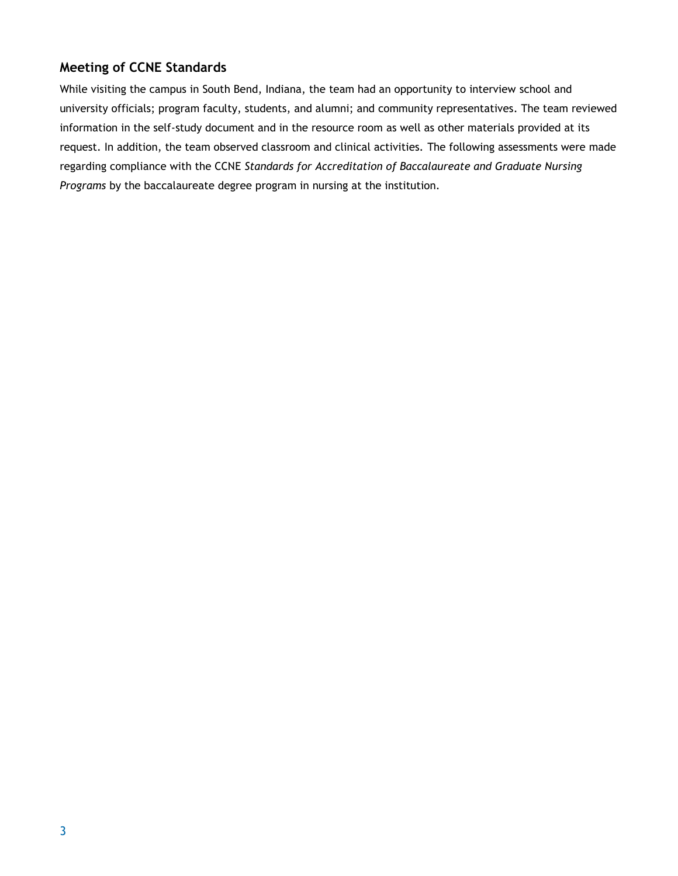## **Meeting of CCNE Standards**

While visiting the campus in South Bend, Indiana, the team had an opportunity to interview school and university officials; program faculty, students, and alumni; and community representatives. The team reviewed information in the self-study document and in the resource room as well as other materials provided at its request. In addition, the team observed classroom and clinical activities. The following assessments were made regarding compliance with the CCNE *Standards for Accreditation of Baccalaureate and Graduate Nursing Programs* by the baccalaureate degree program in nursing at the institution.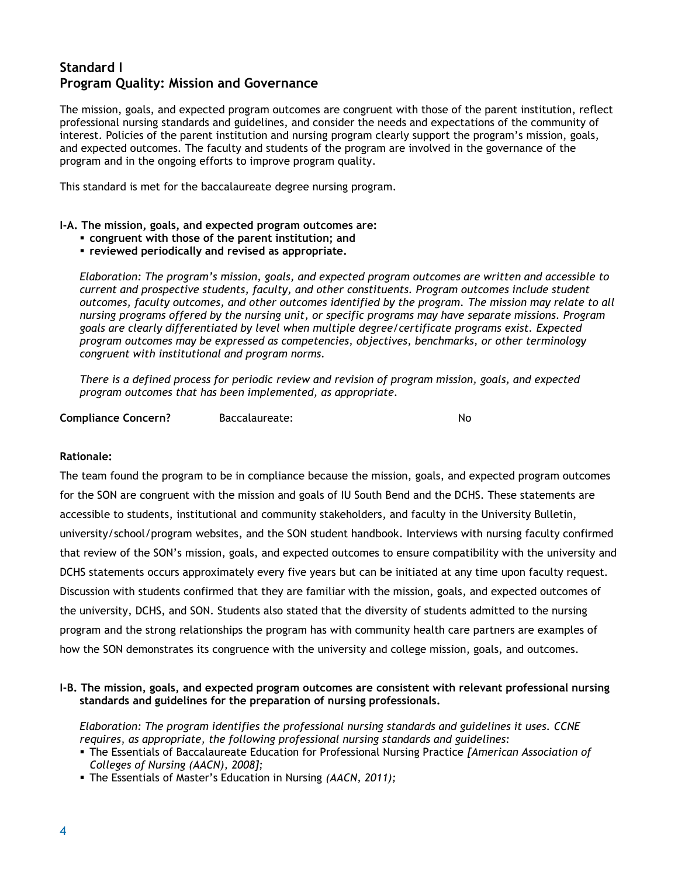## **Standard I Program Quality: Mission and Governance**

The mission, goals, and expected program outcomes are congruent with those of the parent institution, reflect professional nursing standards and guidelines, and consider the needs and expectations of the community of interest. Policies of the parent institution and nursing program clearly support the program's mission, goals, and expected outcomes. The faculty and students of the program are involved in the governance of the program and in the ongoing efforts to improve program quality.

This standard is met for the baccalaureate degree nursing program.

#### **I-A. The mission, goals, and expected program outcomes are:**

- **congruent with those of the parent institution; and**
- **reviewed periodically and revised as appropriate.**

*Elaboration: The program's mission, goals, and expected program outcomes are written and accessible to current and prospective students, faculty, and other constituents. Program outcomes include student outcomes, faculty outcomes, and other outcomes identified by the program. The mission may relate to all nursing programs offered by the nursing unit, or specific programs may have separate missions. Program goals are clearly differentiated by level when multiple degree/certificate programs exist. Expected program outcomes may be expressed as competencies, objectives, benchmarks, or other terminology congruent with institutional and program norms.*

*There is a defined process for periodic review and revision of program mission, goals, and expected program outcomes that has been implemented, as appropriate.*

**Compliance Concern?** Baccalaureate: No

#### **Rationale:**

The team found the program to be in compliance because the mission, goals, and expected program outcomes for the SON are congruent with the mission and goals of IU South Bend and the DCHS. These statements are accessible to students, institutional and community stakeholders, and faculty in the University Bulletin, university/school/program websites, and the SON student handbook. Interviews with nursing faculty confirmed that review of the SON's mission, goals, and expected outcomes to ensure compatibility with the university and DCHS statements occurs approximately every five years but can be initiated at any time upon faculty request. Discussion with students confirmed that they are familiar with the mission, goals, and expected outcomes of the university, DCHS, and SON. Students also stated that the diversity of students admitted to the nursing program and the strong relationships the program has with community health care partners are examples of how the SON demonstrates its congruence with the university and college mission, goals, and outcomes.

#### **I-B. The mission, goals, and expected program outcomes are consistent with relevant professional nursing standards and guidelines for the preparation of nursing professionals.**

*Elaboration: The program identifies the professional nursing standards and guidelines it uses. CCNE requires*, *as appropriate, the following professional nursing standards and guidelines:*

- The Essentials of Baccalaureate Education for Professional Nursing Practice *[American Association of Colleges of Nursing (AACN), 2008];*
- The Essentials of Master's Education in Nursing *(AACN, 2011);*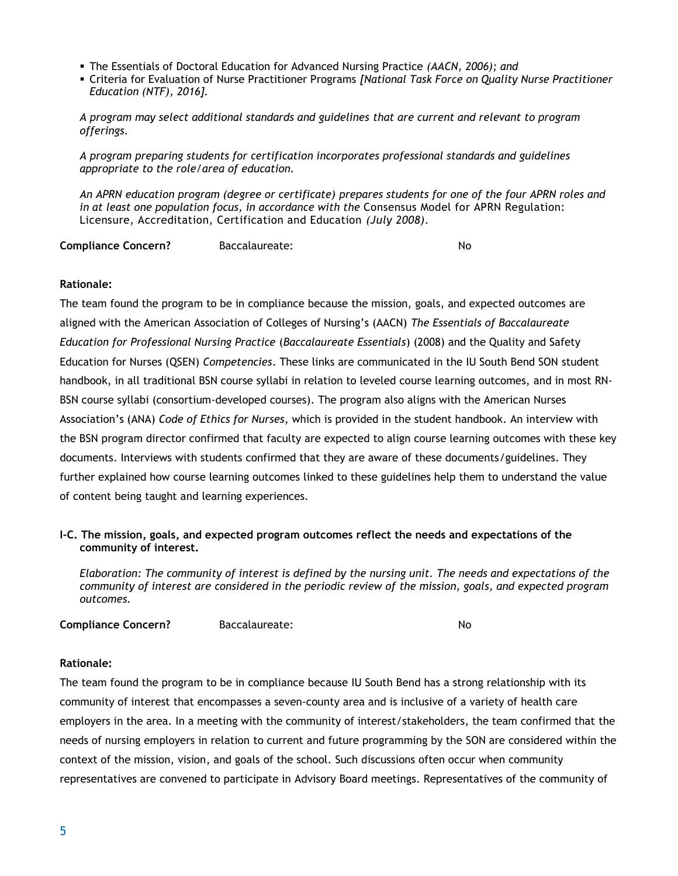- The Essentials of Doctoral Education for Advanced Nursing Practice *(AACN, 2006); and*
- Criteria for Evaluation of Nurse Practitioner Programs *[National Task Force on Quality Nurse Practitioner Education (NTF), 2016].*

*A program may select additional standards and guidelines that are current and relevant to program offerings.*

*A program preparing students for certification incorporates professional standards and guidelines appropriate to the role/area of education.* 

*An APRN education program (degree or certificate) prepares students for one of the four APRN roles and in at least one population focus, in accordance with the Consensus Model for APRN Regulation:* Licensure, Accreditation, Certification and Education *(July 2008).*

**Compliance Concern?** Baccalaureate: No

#### **Rationale:**

The team found the program to be in compliance because the mission, goals, and expected outcomes are aligned with the American Association of Colleges of Nursing's (AACN) *The Essentials of Baccalaureate Education for Professional Nursing Practice* (*Baccalaureate Essentials*) (2008) and the Quality and Safety Education for Nurses (QSEN) *Competencies*. These links are communicated in the IU South Bend SON student handbook, in all traditional BSN course syllabi in relation to leveled course learning outcomes, and in most RN-BSN course syllabi (consortium-developed courses). The program also aligns with the American Nurses Association's (ANA) *Code of Ethics for Nurses*, which is provided in the student handbook. An interview with the BSN program director confirmed that faculty are expected to align course learning outcomes with these key documents. Interviews with students confirmed that they are aware of these documents/guidelines. They further explained how course learning outcomes linked to these guidelines help them to understand the value of content being taught and learning experiences.

#### **I-C. The mission, goals, and expected program outcomes reflect the needs and expectations of the community of interest.**

*Elaboration: The community of interest is defined by the nursing unit. The needs and expectations of the community of interest are considered in the periodic review of the mission, goals, and expected program outcomes.* 

| <b>Compliance Concern?</b><br>Baccalaureate: | No |
|----------------------------------------------|----|
|----------------------------------------------|----|

#### **Rationale:**

The team found the program to be in compliance because IU South Bend has a strong relationship with its community of interest that encompasses a seven-county area and is inclusive of a variety of health care employers in the area. In a meeting with the community of interest/stakeholders, the team confirmed that the needs of nursing employers in relation to current and future programming by the SON are considered within the context of the mission, vision, and goals of the school. Such discussions often occur when community representatives are convened to participate in Advisory Board meetings. Representatives of the community of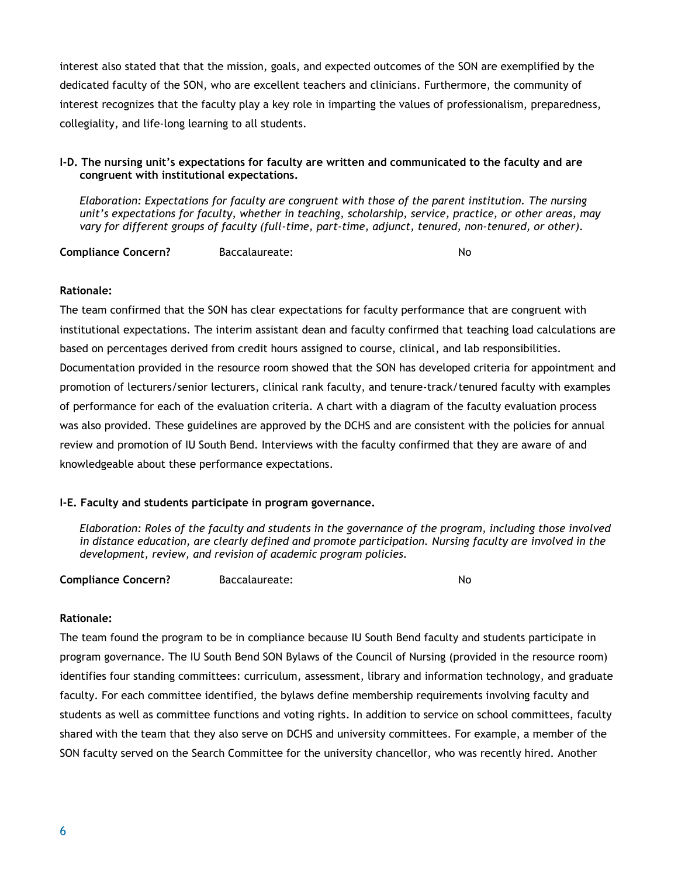interest also stated that that the mission, goals, and expected outcomes of the SON are exemplified by the dedicated faculty of the SON, who are excellent teachers and clinicians. Furthermore, the community of interest recognizes that the faculty play a key role in imparting the values of professionalism, preparedness, collegiality, and life-long learning to all students.

#### **I-D. The nursing unit's expectations for faculty are written and communicated to the faculty and are congruent with institutional expectations.**

*Elaboration: Expectations for faculty are congruent with those of the parent institution. The nursing unit's expectations for faculty, whether in teaching, scholarship, service, practice, or other areas, may vary for different groups of faculty (full-time, part-time, adjunct, tenured, non-tenured, or other).* 

**Compliance Concern?** Baccalaureate: No

#### **Rationale:**

The team confirmed that the SON has clear expectations for faculty performance that are congruent with institutional expectations. The interim assistant dean and faculty confirmed that teaching load calculations are based on percentages derived from credit hours assigned to course, clinical, and lab responsibilities. Documentation provided in the resource room showed that the SON has developed criteria for appointment and promotion of lecturers/senior lecturers, clinical rank faculty, and tenure-track/tenured faculty with examples of performance for each of the evaluation criteria. A chart with a diagram of the faculty evaluation process was also provided. These guidelines are approved by the DCHS and are consistent with the policies for annual review and promotion of IU South Bend. Interviews with the faculty confirmed that they are aware of and knowledgeable about these performance expectations.

#### **I-E. Faculty and students participate in program governance.**

*Elaboration: Roles of the faculty and students in the governance of the program, including those involved in distance education, are clearly defined and promote participation. Nursing faculty are involved in the development, review, and revision of academic program policies.*

**Compliance Concern?** Baccalaureate: No

#### **Rationale:**

The team found the program to be in compliance because IU South Bend faculty and students participate in program governance. The IU South Bend SON Bylaws of the Council of Nursing (provided in the resource room) identifies four standing committees: curriculum, assessment, library and information technology, and graduate faculty. For each committee identified, the bylaws define membership requirements involving faculty and students as well as committee functions and voting rights. In addition to service on school committees, faculty shared with the team that they also serve on DCHS and university committees. For example, a member of the SON faculty served on the Search Committee for the university chancellor, who was recently hired. Another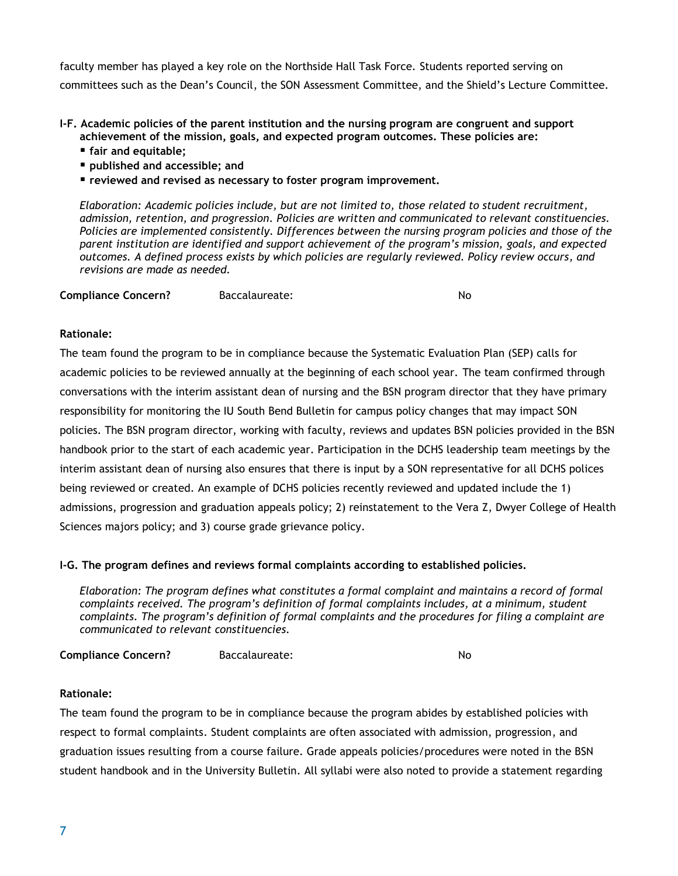faculty member has played a key role on the Northside Hall Task Force. Students reported serving on committees such as the Dean's Council, the SON Assessment Committee, and the Shield's Lecture Committee.

**I-F. Academic policies of the parent institution and the nursing program are congruent and support achievement of the mission, goals, and expected program outcomes. These policies are:**

- **fair and equitable;**
- **published and accessible; and**
- **reviewed and revised as necessary to foster program improvement.**

*Elaboration: Academic policies include, but are not limited to, those related to student recruitment, admission, retention, and progression. Policies are written and communicated to relevant constituencies. Policies are implemented consistently. Differences between the nursing program policies and those of the parent institution are identified and support achievement of the program's mission, goals, and expected outcomes. A defined process exists by which policies are regularly reviewed. Policy review occurs, and revisions are made as needed.*

**Compliance Concern?** Baccalaureate: No

#### **Rationale:**

The team found the program to be in compliance because the Systematic Evaluation Plan (SEP) calls for academic policies to be reviewed annually at the beginning of each school year. The team confirmed through conversations with the interim assistant dean of nursing and the BSN program director that they have primary responsibility for monitoring the IU South Bend Bulletin for campus policy changes that may impact SON policies. The BSN program director, working with faculty, reviews and updates BSN policies provided in the BSN handbook prior to the start of each academic year. Participation in the DCHS leadership team meetings by the interim assistant dean of nursing also ensures that there is input by a SON representative for all DCHS polices being reviewed or created. An example of DCHS policies recently reviewed and updated include the 1) admissions, progression and graduation appeals policy; 2) reinstatement to the Vera Z, Dwyer College of Health Sciences majors policy; and 3) course grade grievance policy.

#### **I-G. The program defines and reviews formal complaints according to established policies.**

*Elaboration: The program defines what constitutes a formal complaint and maintains a record of formal complaints received. The program's definition of formal complaints includes, at a minimum, student complaints. The program's definition of formal complaints and the procedures for filing a complaint are communicated to relevant constituencies.*

**Compliance Concern?** Baccalaureate: No

#### **Rationale:**

The team found the program to be in compliance because the program abides by established policies with respect to formal complaints. Student complaints are often associated with admission, progression, and graduation issues resulting from a course failure. Grade appeals policies/procedures were noted in the BSN student handbook and in the University Bulletin. All syllabi were also noted to provide a statement regarding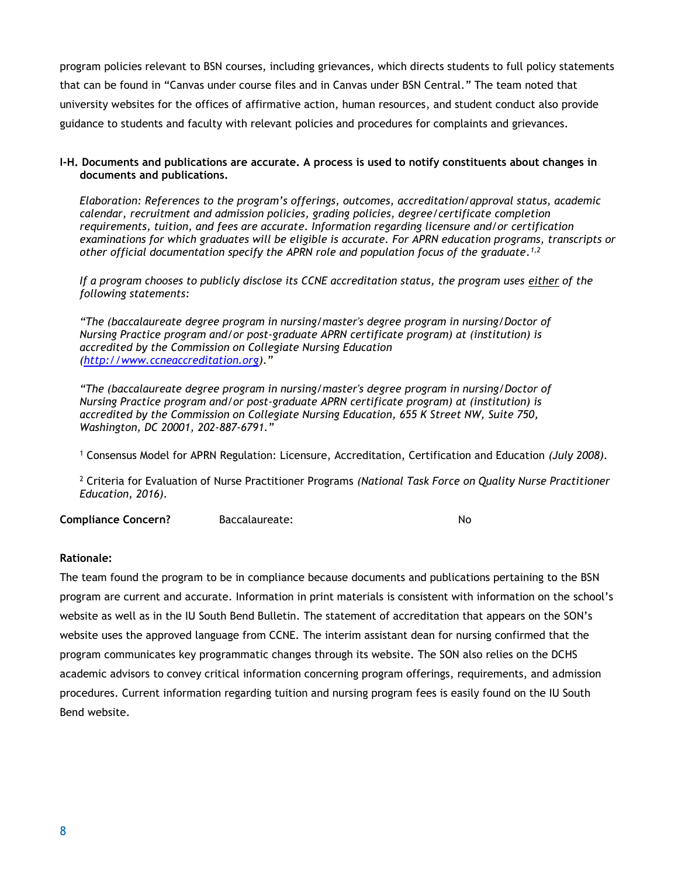program policies relevant to BSN courses, including grievances, which directs students to full policy statements that can be found in "Canvas under course files and in Canvas under BSN Central." The team noted that university websites for the offices of affirmative action, human resources, and student conduct also provide guidance to students and faculty with relevant policies and procedures for complaints and grievances.

#### **I-H. Documents and publications are accurate. A process is used to notify constituents about changes in documents and publications.**

*Elaboration: References to the program's offerings, outcomes, accreditation/approval status, academic calendar, recruitment and admission policies, grading policies, degree/certificate completion requirements, tuition, and fees are accurate. Information regarding licensure and/or certification examinations for which graduates will be eligible is accurate. For APRN education programs, transcripts or other official documentation specify the APRN role and population focus of the graduate. 1,2*

*If a program chooses to publicly disclose its CCNE accreditation status, the program uses either of the following statements:*

*"The (baccalaureate degree program in nursing/master's degree program in nursing/Doctor of Nursing Practice program and/or post-graduate APRN certificate program) at (institution) is accredited by the Commission on Collegiate Nursing Education (http://www.ccneaccreditation.org)."*

*"The (baccalaureate degree program in nursing/master's degree program in nursing/Doctor of Nursing Practice program and/or post-graduate APRN certificate program) at (institution) is accredited by the Commission on Collegiate Nursing Education, 655 K Street NW, Suite 750, Washington, DC 20001, 202-887-6791."*

<sup>1</sup> Consensus Model for APRN Regulation: Licensure, Accreditation, Certification and Education *(July 2008).*

<sup>2</sup> Criteria for Evaluation of Nurse Practitioner Programs *(National Task Force on Quality Nurse Practitioner Education, 2016).*

**Compliance Concern?** Baccalaureate: No

#### **Rationale:**

The team found the program to be in compliance because documents and publications pertaining to the BSN program are current and accurate. Information in print materials is consistent with information on the school's website as well as in the IU South Bend Bulletin. The statement of accreditation that appears on the SON's website uses the approved language from CCNE. The interim assistant dean for nursing confirmed that the program communicates key programmatic changes through its website. The SON also relies on the DCHS academic advisors to convey critical information concerning program offerings, requirements, and admission procedures. Current information regarding tuition and nursing program fees is easily found on the IU South Bend website.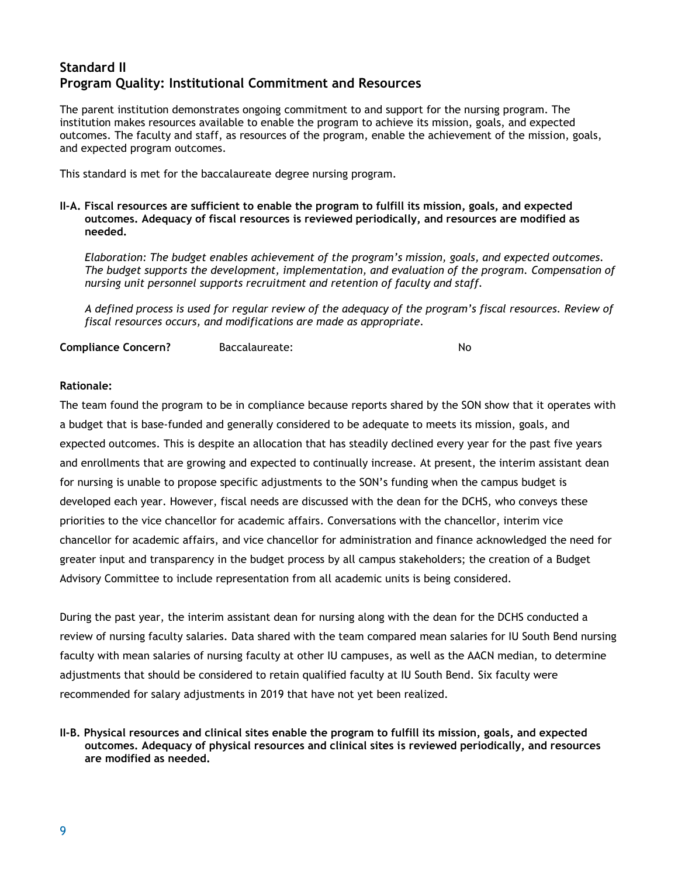## **Standard II Program Quality: Institutional Commitment and Resources**

The parent institution demonstrates ongoing commitment to and support for the nursing program. The institution makes resources available to enable the program to achieve its mission, goals, and expected outcomes. The faculty and staff, as resources of the program, enable the achievement of the mission, goals, and expected program outcomes.

This standard is met for the baccalaureate degree nursing program.

**II-A. Fiscal resources are sufficient to enable the program to fulfill its mission, goals, and expected outcomes. Adequacy of fiscal resources is reviewed periodically, and resources are modified as needed.**

*Elaboration: The budget enables achievement of the program's mission, goals, and expected outcomes. The budget supports the development, implementation, and evaluation of the program. Compensation of nursing unit personnel supports recruitment and retention of faculty and staff.* 

*A defined process is used for regular review of the adequacy of the program's fiscal resources. Review of fiscal resources occurs, and modifications are made as appropriate.*

**Compliance Concern?** Baccalaureate: No

#### **Rationale:**

The team found the program to be in compliance because reports shared by the SON show that it operates with a budget that is base-funded and generally considered to be adequate to meets its mission, goals, and expected outcomes. This is despite an allocation that has steadily declined every year for the past five years and enrollments that are growing and expected to continually increase. At present, the interim assistant dean for nursing is unable to propose specific adjustments to the SON's funding when the campus budget is developed each year. However, fiscal needs are discussed with the dean for the DCHS, who conveys these priorities to the vice chancellor for academic affairs. Conversations with the chancellor, interim vice chancellor for academic affairs, and vice chancellor for administration and finance acknowledged the need for greater input and transparency in the budget process by all campus stakeholders; the creation of a Budget Advisory Committee to include representation from all academic units is being considered.

During the past year, the interim assistant dean for nursing along with the dean for the DCHS conducted a review of nursing faculty salaries. Data shared with the team compared mean salaries for IU South Bend nursing faculty with mean salaries of nursing faculty at other IU campuses, as well as the AACN median, to determine adjustments that should be considered to retain qualified faculty at IU South Bend. Six faculty were recommended for salary adjustments in 2019 that have not yet been realized.

**II-B. Physical resources and clinical sites enable the program to fulfill its mission, goals, and expected outcomes. Adequacy of physical resources and clinical sites is reviewed periodically, and resources are modified as needed.**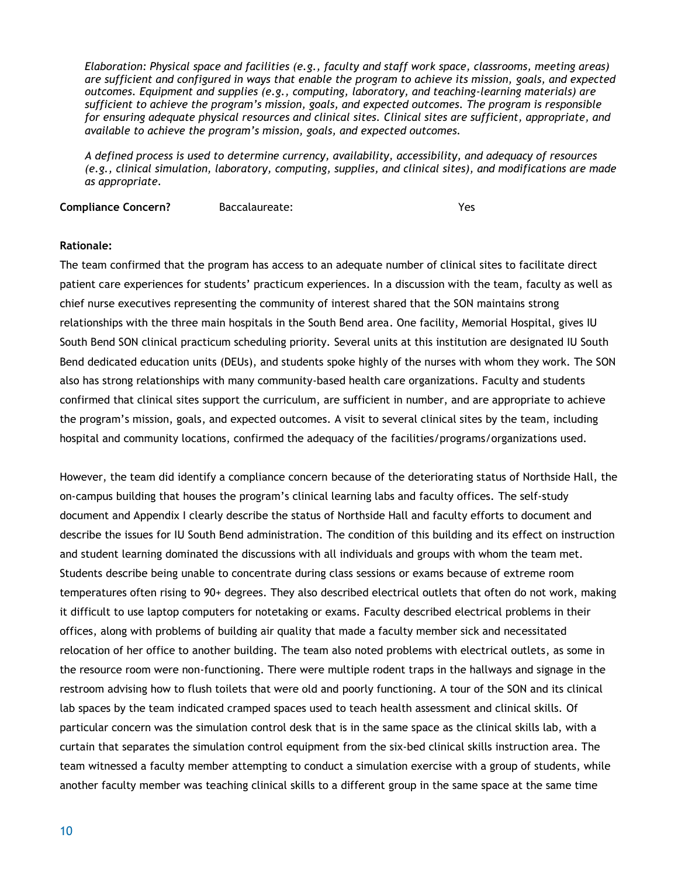*Elaboration: Physical space and facilities (e.g., faculty and staff work space, classrooms, meeting areas) are sufficient and configured in ways that enable the program to achieve its mission, goals, and expected outcomes. Equipment and supplies (e.g., computing, laboratory, and teaching-learning materials) are sufficient to achieve the program's mission, goals, and expected outcomes. The program is responsible for ensuring adequate physical resources and clinical sites. Clinical sites are sufficient, appropriate, and available to achieve the program's mission, goals, and expected outcomes.* 

*A defined process is used to determine currency, availability, accessibility, and adequacy of resources (e.g., clinical simulation, laboratory, computing, supplies, and clinical sites), and modifications are made as appropriate.*

**Compliance Concern?** Baccalaureate: Yes

#### **Rationale:**

The team confirmed that the program has access to an adequate number of clinical sites to facilitate direct patient care experiences for students' practicum experiences. In a discussion with the team, faculty as well as chief nurse executives representing the community of interest shared that the SON maintains strong relationships with the three main hospitals in the South Bend area. One facility, Memorial Hospital, gives IU South Bend SON clinical practicum scheduling priority. Several units at this institution are designated IU South Bend dedicated education units (DEUs), and students spoke highly of the nurses with whom they work. The SON also has strong relationships with many community-based health care organizations. Faculty and students confirmed that clinical sites support the curriculum, are sufficient in number, and are appropriate to achieve the program's mission, goals, and expected outcomes. A visit to several clinical sites by the team, including hospital and community locations, confirmed the adequacy of the facilities/programs/organizations used.

However, the team did identify a compliance concern because of the deteriorating status of Northside Hall, the on-campus building that houses the program's clinical learning labs and faculty offices. The self-study document and Appendix I clearly describe the status of Northside Hall and faculty efforts to document and describe the issues for IU South Bend administration. The condition of this building and its effect on instruction and student learning dominated the discussions with all individuals and groups with whom the team met. Students describe being unable to concentrate during class sessions or exams because of extreme room temperatures often rising to 90+ degrees. They also described electrical outlets that often do not work, making it difficult to use laptop computers for notetaking or exams. Faculty described electrical problems in their offices, along with problems of building air quality that made a faculty member sick and necessitated relocation of her office to another building. The team also noted problems with electrical outlets, as some in the resource room were non-functioning. There were multiple rodent traps in the hallways and signage in the restroom advising how to flush toilets that were old and poorly functioning. A tour of the SON and its clinical lab spaces by the team indicated cramped spaces used to teach health assessment and clinical skills. Of particular concern was the simulation control desk that is in the same space as the clinical skills lab, with a curtain that separates the simulation control equipment from the six-bed clinical skills instruction area. The team witnessed a faculty member attempting to conduct a simulation exercise with a group of students, while another faculty member was teaching clinical skills to a different group in the same space at the same time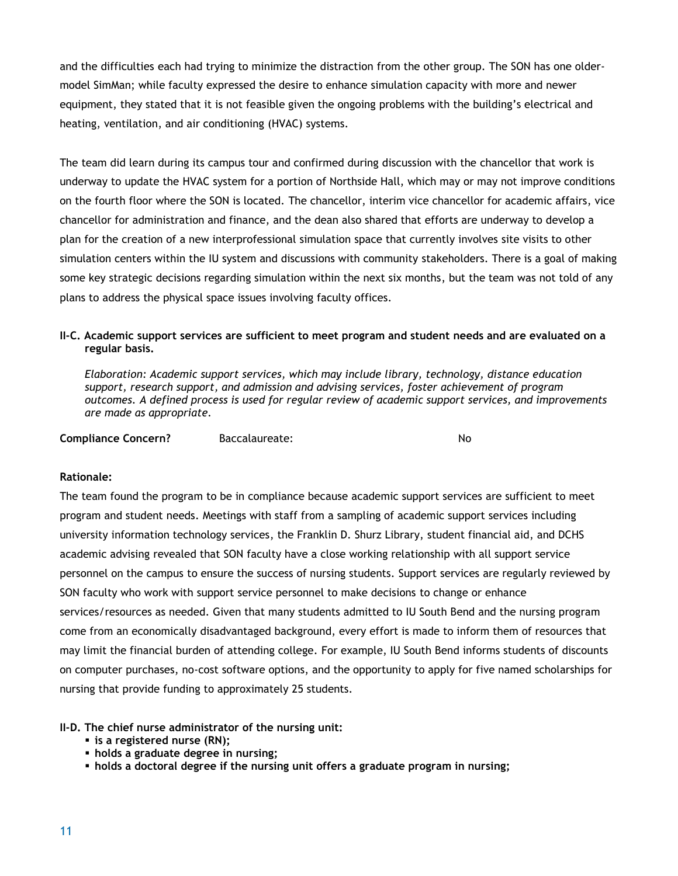and the difficulties each had trying to minimize the distraction from the other group. The SON has one oldermodel SimMan; while faculty expressed the desire to enhance simulation capacity with more and newer equipment, they stated that it is not feasible given the ongoing problems with the building's electrical and heating, ventilation, and air conditioning (HVAC) systems.

The team did learn during its campus tour and confirmed during discussion with the chancellor that work is underway to update the HVAC system for a portion of Northside Hall, which may or may not improve conditions on the fourth floor where the SON is located. The chancellor, interim vice chancellor for academic affairs, vice chancellor for administration and finance, and the dean also shared that efforts are underway to develop a plan for the creation of a new interprofessional simulation space that currently involves site visits to other simulation centers within the IU system and discussions with community stakeholders. There is a goal of making some key strategic decisions regarding simulation within the next six months, but the team was not told of any plans to address the physical space issues involving faculty offices.

#### **II-C. Academic support services are sufficient to meet program and student needs and are evaluated on a regular basis.**

*Elaboration: Academic support services, which may include library, technology, distance education support, research support, and admission and advising services, foster achievement of program outcomes. A defined process is used for regular review of academic support services, and improvements are made as appropriate.*

**Compliance Concern?** Baccalaureate: No

#### **Rationale:**

The team found the program to be in compliance because academic support services are sufficient to meet program and student needs. Meetings with staff from a sampling of academic support services including university information technology services, the Franklin D. Shurz Library, student financial aid, and DCHS academic advising revealed that SON faculty have a close working relationship with all support service personnel on the campus to ensure the success of nursing students. Support services are regularly reviewed by SON faculty who work with support service personnel to make decisions to change or enhance services/resources as needed. Given that many students admitted to IU South Bend and the nursing program come from an economically disadvantaged background, every effort is made to inform them of resources that may limit the financial burden of attending college. For example, IU South Bend informs students of discounts on computer purchases, no-cost software options, and the opportunity to apply for five named scholarships for nursing that provide funding to approximately 25 students.

#### **II-D. The chief nurse administrator of the nursing unit:**

- **is a registered nurse (RN);**
- **holds a graduate degree in nursing;**
- **holds a doctoral degree if the nursing unit offers a graduate program in nursing;**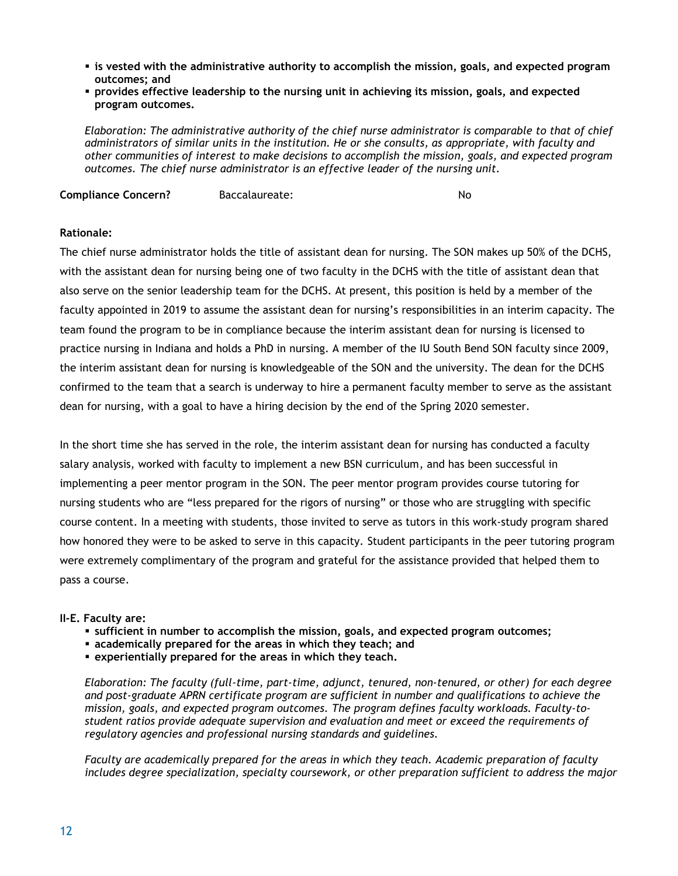- **Example 3 is vested with the administrative authority to accomplish the mission, goals, and expected program outcomes; and**
- **provides effective leadership to the nursing unit in achieving its mission, goals, and expected program outcomes.**

*Elaboration: The administrative authority of the chief nurse administrator is comparable to that of chief administrators of similar units in the institution. He or she consults, as appropriate, with faculty and other communities of interest to make decisions to accomplish the mission, goals, and expected program outcomes. The chief nurse administrator is an effective leader of the nursing unit.* 

**Compliance Concern?** Baccalaureate: No

#### **Rationale:**

The chief nurse administrator holds the title of assistant dean for nursing. The SON makes up 50% of the DCHS, with the assistant dean for nursing being one of two faculty in the DCHS with the title of assistant dean that also serve on the senior leadership team for the DCHS. At present, this position is held by a member of the faculty appointed in 2019 to assume the assistant dean for nursing's responsibilities in an interim capacity. The team found the program to be in compliance because the interim assistant dean for nursing is licensed to practice nursing in Indiana and holds a PhD in nursing. A member of the IU South Bend SON faculty since 2009, the interim assistant dean for nursing is knowledgeable of the SON and the university. The dean for the DCHS confirmed to the team that a search is underway to hire a permanent faculty member to serve as the assistant dean for nursing, with a goal to have a hiring decision by the end of the Spring 2020 semester.

In the short time she has served in the role, the interim assistant dean for nursing has conducted a faculty salary analysis, worked with faculty to implement a new BSN curriculum, and has been successful in implementing a peer mentor program in the SON. The peer mentor program provides course tutoring for nursing students who are "less prepared for the rigors of nursing" or those who are struggling with specific course content. In a meeting with students, those invited to serve as tutors in this work-study program shared how honored they were to be asked to serve in this capacity. Student participants in the peer tutoring program were extremely complimentary of the program and grateful for the assistance provided that helped them to pass a course.

#### **II-E. Faculty are:**

- **sufficient in number to accomplish the mission, goals, and expected program outcomes;**
- **academically prepared for the areas in which they teach; and**
- **experientially prepared for the areas in which they teach.**

*Elaboration: The faculty (full-time, part-time, adjunct, tenured, non-tenured, or other) for each degree and post-graduate APRN certificate program are sufficient in number and qualifications to achieve the mission, goals, and expected program outcomes. The program defines faculty workloads. Faculty-tostudent ratios provide adequate supervision and evaluation and meet or exceed the requirements of regulatory agencies and professional nursing standards and guidelines.* 

*Faculty are academically prepared for the areas in which they teach. Academic preparation of faculty includes degree specialization, specialty coursework, or other preparation sufficient to address the major*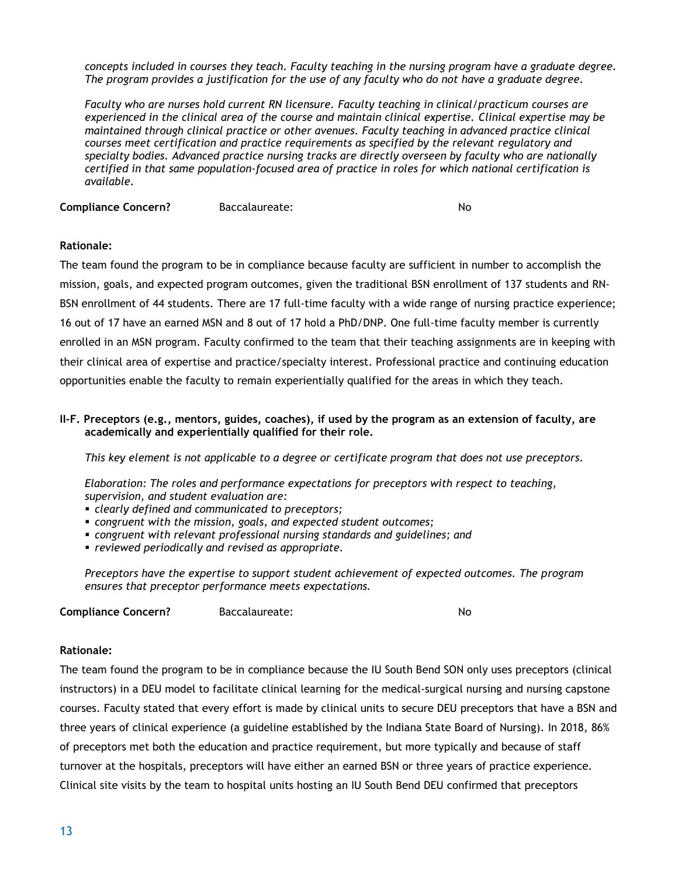*concepts included in courses they teach. Faculty teaching in the nursing program have a graduate degree. The program provides a justification for the use of any faculty who do not have a graduate degree.* 

*Faculty who are nurses hold current RN licensure. Faculty teaching in clinical/practicum courses are experienced in the clinical area of the course and maintain clinical expertise. Clinical expertise may be maintained through clinical practice or other avenues. Faculty teaching in advanced practice clinical courses meet certification and practice requirements as specified by the relevant regulatory and specialty bodies. Advanced practice nursing tracks are directly overseen by faculty who are nationally certified in that same population-focused area of practice in roles for which national certification is available.*

**Compliance Concern?** Baccalaureate: No

#### **Rationale:**

The team found the program to be in compliance because faculty are sufficient in number to accomplish the mission, goals, and expected program outcomes, given the traditional BSN enrollment of 137 students and RN-BSN enrollment of 44 students. There are 17 full-time faculty with a wide range of nursing practice experience; 16 out of 17 have an earned MSN and 8 out of 17 hold a PhD/DNP. One full-time faculty member is currently enrolled in an MSN program. Faculty confirmed to the team that their teaching assignments are in keeping with their clinical area of expertise and practice/specialty interest. Professional practice and continuing education opportunities enable the faculty to remain experientially qualified for the areas in which they teach.

#### **II-F. Preceptors (e.g., mentors, guides, coaches), if used by the program as an extension of faculty, are academically and experientially qualified for their role.**

*This key element is not applicable to a degree or certificate program that does not use preceptors.* 

*Elaboration: The roles and performance expectations for preceptors with respect to teaching, supervision, and student evaluation are:*

- *clearly defined and communicated to preceptors;*
- *congruent with the mission, goals, and expected student outcomes;*
- *congruent with relevant professional nursing standards and guidelines; and*
- *reviewed periodically and revised as appropriate.*

*Preceptors have the expertise to support student achievement of expected outcomes. The program ensures that preceptor performance meets expectations.*

**Compliance Concern?** Baccalaureate: No

#### **Rationale:**

The team found the program to be in compliance because the IU South Bend SON only uses preceptors (clinical instructors) in a DEU model to facilitate clinical learning for the medical-surgical nursing and nursing capstone courses. Faculty stated that every effort is made by clinical units to secure DEU preceptors that have a BSN and three years of clinical experience (a guideline established by the Indiana State Board of Nursing). In 2018, 86% of preceptors met both the education and practice requirement, but more typically and because of staff turnover at the hospitals, preceptors will have either an earned BSN or three years of practice experience. Clinical site visits by the team to hospital units hosting an IU South Bend DEU confirmed that preceptors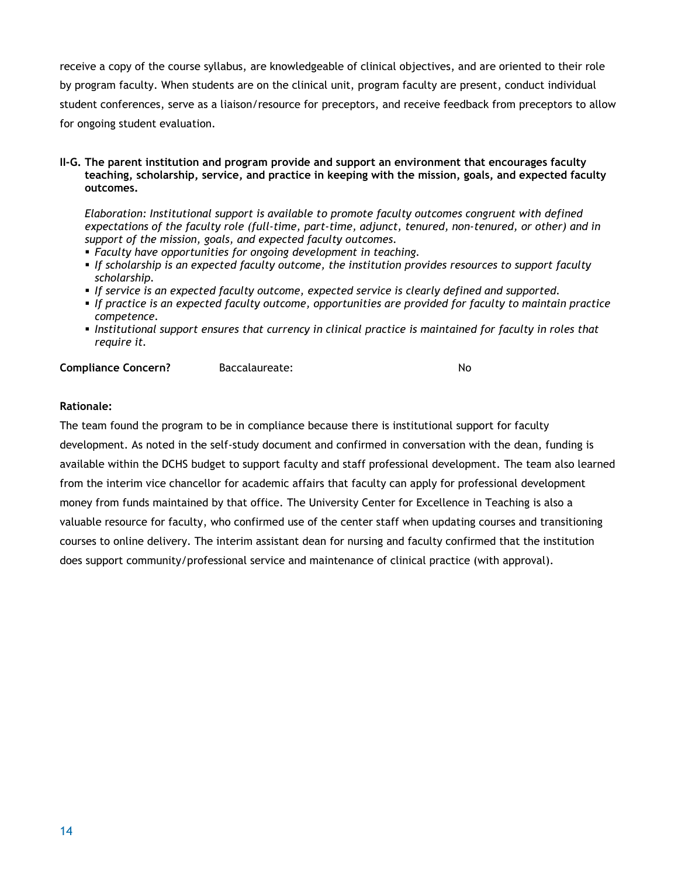receive a copy of the course syllabus, are knowledgeable of clinical objectives, and are oriented to their role by program faculty. When students are on the clinical unit, program faculty are present, conduct individual student conferences, serve as a liaison/resource for preceptors, and receive feedback from preceptors to allow for ongoing student evaluation.

**II-G. The parent institution and program provide and support an environment that encourages faculty teaching, scholarship, service, and practice in keeping with the mission, goals, and expected faculty outcomes.** 

*Elaboration: Institutional support is available to promote faculty outcomes congruent with defined expectations of the faculty role (full-time, part-time, adjunct, tenured, non-tenured, or other) and in support of the mission, goals, and expected faculty outcomes.* 

- *Faculty have opportunities for ongoing development in teaching.*
- *If scholarship is an expected faculty outcome, the institution provides resources to support faculty scholarship.*
- *If service is an expected faculty outcome, expected service is clearly defined and supported.*
- *If practice is an expected faculty outcome, opportunities are provided for faculty to maintain practice competence.*
- *Institutional support ensures that currency in clinical practice is maintained for faculty in roles that require it.*

**Compliance Concern?** Baccalaureate: No

#### **Rationale:**

The team found the program to be in compliance because there is institutional support for faculty development. As noted in the self-study document and confirmed in conversation with the dean, funding is available within the DCHS budget to support faculty and staff professional development. The team also learned from the interim vice chancellor for academic affairs that faculty can apply for professional development money from funds maintained by that office. The University Center for Excellence in Teaching is also a valuable resource for faculty, who confirmed use of the center staff when updating courses and transitioning courses to online delivery. The interim assistant dean for nursing and faculty confirmed that the institution does support community/professional service and maintenance of clinical practice (with approval).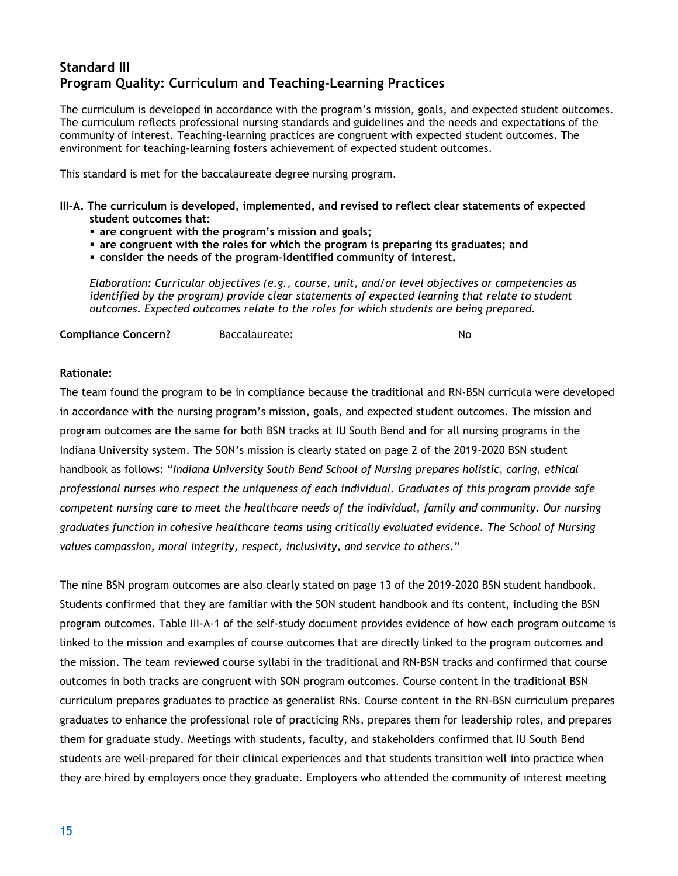## **Standard III Program Quality: Curriculum and Teaching-Learning Practices**

The curriculum is developed in accordance with the program's mission, goals, and expected student outcomes. The curriculum reflects professional nursing standards and guidelines and the needs and expectations of the community of interest. Teaching-learning practices are congruent with expected student outcomes. The environment for teaching-learning fosters achievement of expected student outcomes.

This standard is met for the baccalaureate degree nursing program.

- **III-A. The curriculum is developed, implemented, and revised to reflect clear statements of expected student outcomes that:**
	- **are congruent with the program's mission and goals;**
	- **are congruent with the roles for which the program is preparing its graduates; and**
	- **consider the needs of the program–identified community of interest.**

*Elaboration: Curricular objectives (e.g., course, unit, and/or level objectives or competencies as identified by the program) provide clear statements of expected learning that relate to student outcomes. Expected outcomes relate to the roles for which students are being prepared.* 

**Compliance Concern?** Baccalaureate: No

#### **Rationale:**

The team found the program to be in compliance because the traditional and RN-BSN curricula were developed in accordance with the nursing program's mission, goals, and expected student outcomes. The mission and program outcomes are the same for both BSN tracks at IU South Bend and for all nursing programs in the Indiana University system. The SON's mission is clearly stated on page 2 of the 2019-2020 BSN student handbook as follows: "*Indiana University South Bend School of Nursing prepares holistic, caring, ethical professional nurses who respect the uniqueness of each individual. Graduates of this program provide safe competent nursing care to meet the healthcare needs of the individual, family and community. Our nursing graduates function in cohesive healthcare teams using critically evaluated evidence. The School of Nursing values compassion, moral integrity, respect, inclusivity, and service to others.*"

The nine BSN program outcomes are also clearly stated on page 13 of the 2019-2020 BSN student handbook. Students confirmed that they are familiar with the SON student handbook and its content, including the BSN program outcomes. Table III-A-1 of the self-study document provides evidence of how each program outcome is linked to the mission and examples of course outcomes that are directly linked to the program outcomes and the mission. The team reviewed course syllabi in the traditional and RN-BSN tracks and confirmed that course outcomes in both tracks are congruent with SON program outcomes. Course content in the traditional BSN curriculum prepares graduates to practice as generalist RNs. Course content in the RN-BSN curriculum prepares graduates to enhance the professional role of practicing RNs, prepares them for leadership roles, and prepares them for graduate study. Meetings with students, faculty, and stakeholders confirmed that IU South Bend students are well-prepared for their clinical experiences and that students transition well into practice when they are hired by employers once they graduate. Employers who attended the community of interest meeting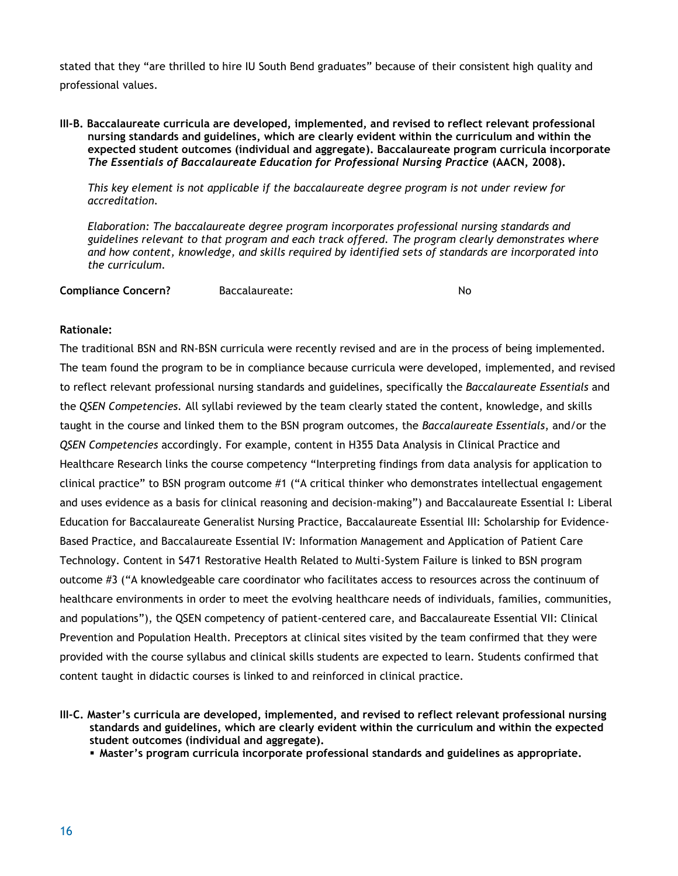stated that they "are thrilled to hire IU South Bend graduates" because of their consistent high quality and professional values.

#### **III-B. Baccalaureate curricula are developed, implemented, and revised to reflect relevant professional nursing standards and guidelines, which are clearly evident within the curriculum and within the expected student outcomes (individual and aggregate). Baccalaureate program curricula incorporate**  *The Essentials of Baccalaureate Education for Professional Nursing Practice* **(AACN, 2008).**

*This key element is not applicable if the baccalaureate degree program is not under review for accreditation.*

*Elaboration: The baccalaureate degree program incorporates professional nursing standards and guidelines relevant to that program and each track offered. The program clearly demonstrates where and how content, knowledge, and skills required by identified sets of standards are incorporated into the curriculum.* 

| <b>Compliance Concern?</b> | Baccalaureate: | No |
|----------------------------|----------------|----|
|                            |                |    |

#### **Rationale:**

The traditional BSN and RN-BSN curricula were recently revised and are in the process of being implemented. The team found the program to be in compliance because curricula were developed, implemented, and revised to reflect relevant professional nursing standards and guidelines, specifically the *Baccalaureate Essentials* and the *QSEN Competencies.* All syllabi reviewed by the team clearly stated the content, knowledge, and skills taught in the course and linked them to the BSN program outcomes, the *Baccalaureate Essentials*, and/or the *QSEN Competencies* accordingly. For example, content in H355 Data Analysis in Clinical Practice and Healthcare Research links the course competency "Interpreting findings from data analysis for application to clinical practice" to BSN program outcome #1 ("A critical thinker who demonstrates intellectual engagement and uses evidence as a basis for clinical reasoning and decision-making") and Baccalaureate Essential I: Liberal Education for Baccalaureate Generalist Nursing Practice, Baccalaureate Essential III: Scholarship for Evidence-Based Practice, and Baccalaureate Essential IV: Information Management and Application of Patient Care Technology. Content in S471 Restorative Health Related to Multi-System Failure is linked to BSN program outcome #3 ("A knowledgeable care coordinator who facilitates access to resources across the continuum of healthcare environments in order to meet the evolving healthcare needs of individuals, families, communities, and populations"), the QSEN competency of patient-centered care, and Baccalaureate Essential VII: Clinical Prevention and Population Health. Preceptors at clinical sites visited by the team confirmed that they were provided with the course syllabus and clinical skills students are expected to learn. Students confirmed that content taught in didactic courses is linked to and reinforced in clinical practice.

**III-C. Master's curricula are developed, implemented, and revised to reflect relevant professional nursing standards and guidelines, which are clearly evident within the curriculum and within the expected student outcomes (individual and aggregate).**

▪ **Master's program curricula incorporate professional standards and guidelines as appropriate.**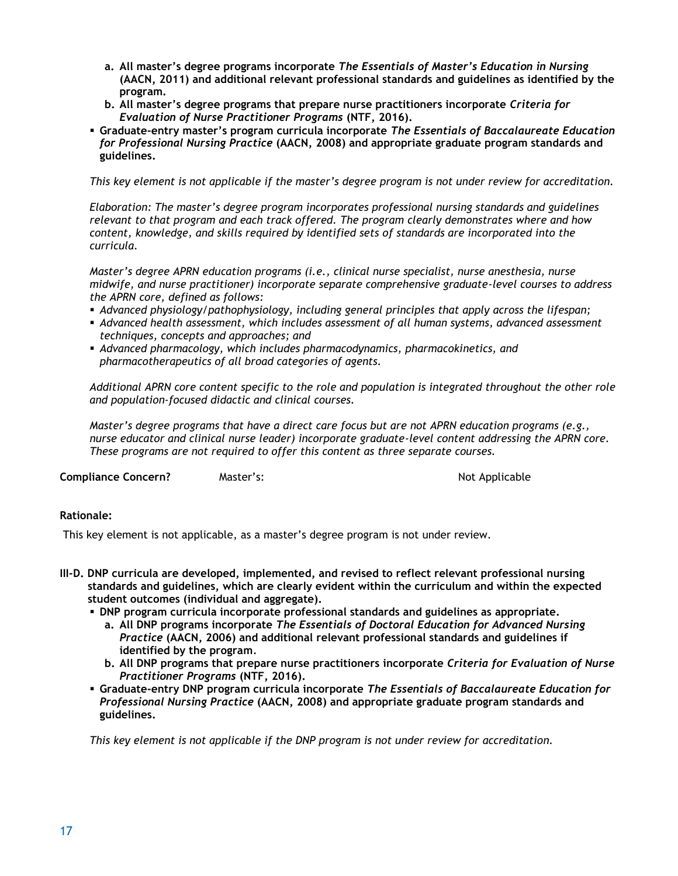- **a. All master's degree programs incorporate** *The Essentials of Master's Education in Nursing*  **(AACN, 2011) and additional relevant professional standards and guidelines as identified by the program.**
- **b. All master's degree programs that prepare nurse practitioners incorporate** *Criteria for Evaluation of Nurse Practitioner Programs* **(NTF, 2016).**
- **Graduate-entry master's program curricula incorporate** *The Essentials of Baccalaureate Education for Professional Nursing Practice* **(AACN, 2008) and appropriate graduate program standards and guidelines.**

*This key element is not applicable if the master's degree program is not under review for accreditation.*

*Elaboration: The master's degree program incorporates professional nursing standards and guidelines relevant to that program and each track offered. The program clearly demonstrates where and how content, knowledge, and skills required by identified sets of standards are incorporated into the curricula.* 

*Master's degree APRN education programs (i.e., clinical nurse specialist, nurse anesthesia, nurse midwife, and nurse practitioner) incorporate separate comprehensive graduate-level courses to address the APRN core, defined as follows:*

- *Advanced physiology/pathophysiology, including general principles that apply across the lifespan;*
- Advanced health assessment, which includes assessment of all human systems, advanced assessment *techniques, concepts and approaches; and*
- *Advanced pharmacology, which includes pharmacodynamics, pharmacokinetics, and pharmacotherapeutics of all broad categories of agents.*

*Additional APRN core content specific to the role and population is integrated throughout the other role and population-focused didactic and clinical courses.* 

*Master's degree programs that have a direct care focus but are not APRN education programs (e.g., nurse educator and clinical nurse leader) incorporate graduate-level content addressing the APRN core. These programs are not required to offer this content as three separate courses.*

**Compliance Concern?** Master's: Not Applicable Master's:

#### **Rationale:**

This key element is not applicable, as a master's degree program is not under review.

- **III-D. DNP curricula are developed, implemented, and revised to reflect relevant professional nursing standards and guidelines, which are clearly evident within the curriculum and within the expected student outcomes (individual and aggregate).**
	- **DNP program curricula incorporate professional standards and guidelines as appropriate.** 
		- **a. All DNP programs incorporate** *The Essentials of Doctoral Education for Advanced Nursing Practice* **(AACN, 2006) and additional relevant professional standards and guidelines if identified by the program***.*
		- **b. All DNP programs that prepare nurse practitioners incorporate** *Criteria for Evaluation of Nurse Practitioner Programs* **(NTF, 2016).**
	- **Graduate-entry DNP program curricula incorporate** *The Essentials of Baccalaureate Education for Professional Nursing Practice* **(AACN, 2008) and appropriate graduate program standards and guidelines.**

*This key element is not applicable if the DNP program is not under review for accreditation.*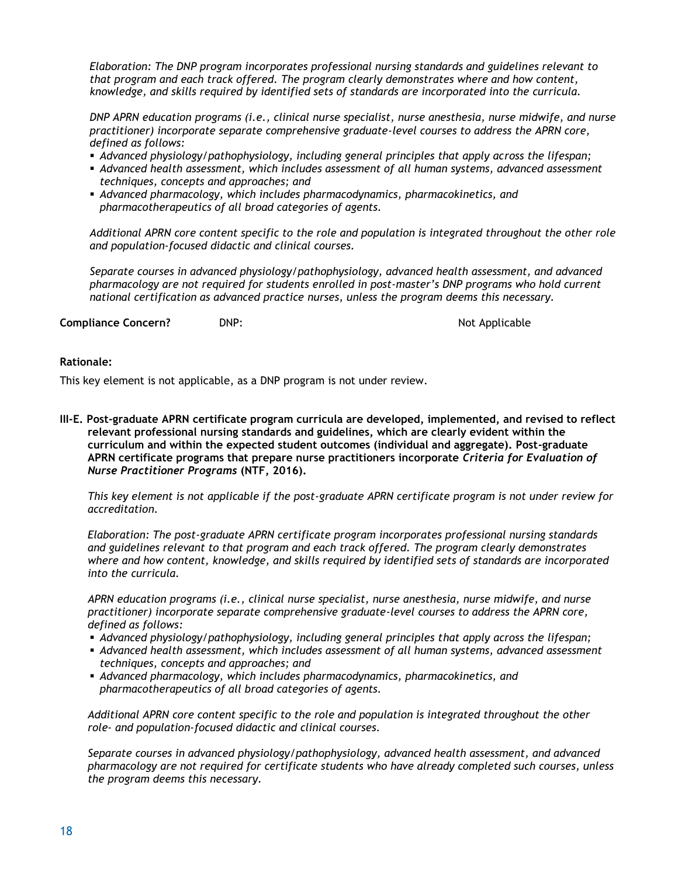*Elaboration: The DNP program incorporates professional nursing standards and guidelines relevant to that program and each track offered. The program clearly demonstrates where and how content, knowledge, and skills required by identified sets of standards are incorporated into the curricula.* 

*DNP APRN education programs (i.e., clinical nurse specialist, nurse anesthesia, nurse midwife, and nurse practitioner) incorporate separate comprehensive graduate-level courses to address the APRN core, defined as follows:*

- *Advanced physiology/pathophysiology, including general principles that apply across the lifespan;*
- *Advanced health assessment, which includes assessment of all human systems, advanced assessment techniques, concepts and approaches; and*
- *Advanced pharmacology, which includes pharmacodynamics, pharmacokinetics, and pharmacotherapeutics of all broad categories of agents.*

*Additional APRN core content specific to the role and population is integrated throughout the other role and population-focused didactic and clinical courses.* 

*Separate courses in advanced physiology/pathophysiology, advanced health assessment, and advanced pharmacology are not required for students enrolled in post-master's DNP programs who hold current national certification as advanced practice nurses, unless the program deems this necessary.*

**Compliance Concern?** DNP: DNP: Not Applicable

#### **Rationale:**

This key element is not applicable, as a DNP program is not under review.

**III-E. Post-graduate APRN certificate program curricula are developed, implemented, and revised to reflect relevant professional nursing standards and guidelines, which are clearly evident within the curriculum and within the expected student outcomes (individual and aggregate). Post-graduate APRN certificate programs that prepare nurse practitioners incorporate** *Criteria for Evaluation of Nurse Practitioner Programs* **(NTF, 2016).**

*This key element is not applicable if the post-graduate APRN certificate program is not under review for accreditation.*

*Elaboration: The post-graduate APRN certificate program incorporates professional nursing standards and guidelines relevant to that program and each track offered. The program clearly demonstrates where and how content, knowledge, and skills required by identified sets of standards are incorporated into the curricula.* 

*APRN education programs (i.e., clinical nurse specialist, nurse anesthesia, nurse midwife, and nurse practitioner) incorporate separate comprehensive graduate-level courses to address the APRN core, defined as follows:*

- *Advanced physiology/pathophysiology, including general principles that apply across the lifespan;*
- *Advanced health assessment, which includes assessment of all human systems, advanced assessment techniques, concepts and approaches; and*
- *Advanced pharmacology, which includes pharmacodynamics, pharmacokinetics, and pharmacotherapeutics of all broad categories of agents.*

*Additional APRN core content specific to the role and population is integrated throughout the other role- and population-focused didactic and clinical courses.* 

*Separate courses in advanced physiology/pathophysiology, advanced health assessment, and advanced pharmacology are not required for certificate students who have already completed such courses, unless the program deems this necessary.*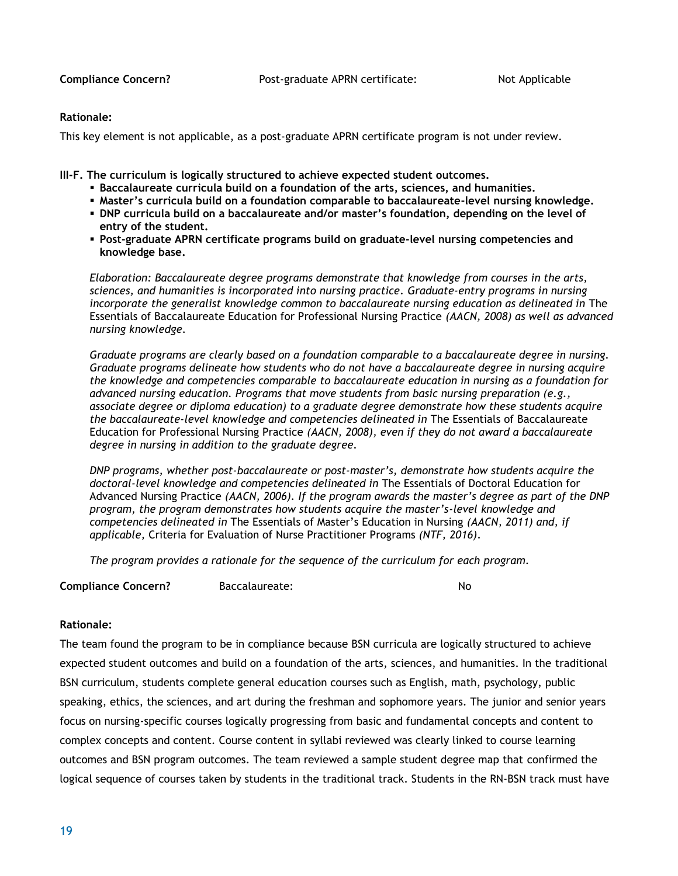**Compliance Concern?** Post-graduate APRN certificate: Not Applicable

#### **Rationale:**

This key element is not applicable, as a post-graduate APRN certificate program is not under review.

**III-F. The curriculum is logically structured to achieve expected student outcomes.**

- **Baccalaureate curricula build on a foundation of the arts, sciences, and humanities.**
- **Master's curricula build on a foundation comparable to baccalaureate-level nursing knowledge.**
- **. DNP** curricula build on a baccalaureate and/or master's foundation, depending on the level of **entry of the student.**
- **Post-graduate APRN certificate programs build on graduate-level nursing competencies and knowledge base.**

*Elaboration: Baccalaureate degree programs demonstrate that knowledge from courses in the arts, sciences, and humanities is incorporated into nursing practice. Graduate-entry programs in nursing incorporate the generalist knowledge common to baccalaureate nursing education as delineated in* The Essentials of Baccalaureate Education for Professional Nursing Practice *(AACN, 2008) as well as advanced nursing knowledge.* 

*Graduate programs are clearly based on a foundation comparable to a baccalaureate degree in nursing. Graduate programs delineate how students who do not have a baccalaureate degree in nursing acquire the knowledge and competencies comparable to baccalaureate education in nursing as a foundation for advanced nursing education. Programs that move students from basic nursing preparation (e.g., associate degree or diploma education) to a graduate degree demonstrate how these students acquire the baccalaureate-level knowledge and competencies delineated in* The Essentials of Baccalaureate Education for Professional Nursing Practice *(AACN, 2008), even if they do not award a baccalaureate degree in nursing in addition to the graduate degree.* 

*DNP programs, whether post-baccalaureate or post-master's, demonstrate how students acquire the doctoral-level knowledge and competencies delineated in* The Essentials of Doctoral Education for Advanced Nursing Practice *(AACN, 2006). If the program awards the master's degree as part of the DNP program, the program demonstrates how students acquire the master's-level knowledge and competencies delineated in* The Essentials of Master's Education in Nursing *(AACN, 2011) and, if applicable,* Criteria for Evaluation of Nurse Practitioner Programs *(NTF, 2016)*.

*The program provides a rationale for the sequence of the curriculum for each program.* 

**Compliance Concern?** Baccalaureate: No

### **Rationale:**

The team found the program to be in compliance because BSN curricula are logically structured to achieve expected student outcomes and build on a foundation of the arts, sciences, and humanities. In the traditional BSN curriculum, students complete general education courses such as English, math, psychology, public speaking, ethics, the sciences, and art during the freshman and sophomore years. The junior and senior years focus on nursing-specific courses logically progressing from basic and fundamental concepts and content to complex concepts and content. Course content in syllabi reviewed was clearly linked to course learning outcomes and BSN program outcomes. The team reviewed a sample student degree map that confirmed the logical sequence of courses taken by students in the traditional track. Students in the RN-BSN track must have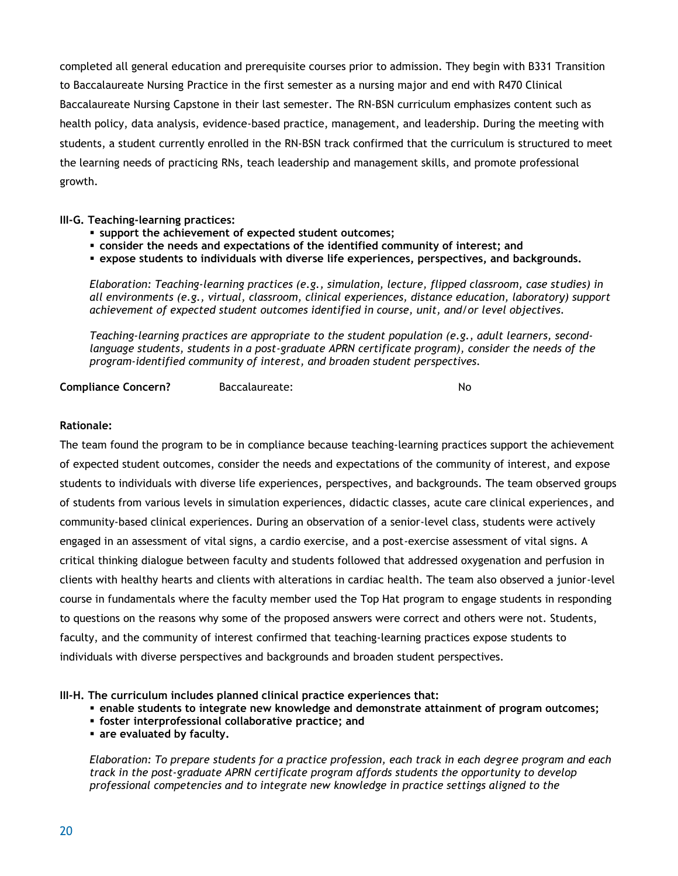completed all general education and prerequisite courses prior to admission. They begin with B331 Transition to Baccalaureate Nursing Practice in the first semester as a nursing major and end with R470 Clinical Baccalaureate Nursing Capstone in their last semester. The RN-BSN curriculum emphasizes content such as health policy, data analysis, evidence-based practice, management, and leadership. During the meeting with students, a student currently enrolled in the RN-BSN track confirmed that the curriculum is structured to meet the learning needs of practicing RNs, teach leadership and management skills, and promote professional growth.

**III-G. Teaching-learning practices:**

- **support the achievement of expected student outcomes;**
- **consider the needs and expectations of the identified community of interest; and**
- **expose students to individuals with diverse life experiences, perspectives, and backgrounds.**

*Elaboration: Teaching-learning practices (e.g., simulation, lecture, flipped classroom, case studies) in all environments (e.g., virtual, classroom, clinical experiences, distance education, laboratory) support achievement of expected student outcomes identified in course, unit, and/or level objectives.* 

*Teaching-learning practices are appropriate to the student population (e.g., adult learners, second*language students, students in a post-graduate APRN certificate program), consider the needs of the *program-identified community of interest, and broaden student perspectives.* 

**Compliance Concern?** Baccalaureate: No

#### **Rationale:**

The team found the program to be in compliance because teaching-learning practices support the achievement of expected student outcomes, consider the needs and expectations of the community of interest, and expose students to individuals with diverse life experiences, perspectives, and backgrounds. The team observed groups of students from various levels in simulation experiences, didactic classes, acute care clinical experiences, and community-based clinical experiences. During an observation of a senior-level class, students were actively engaged in an assessment of vital signs, a cardio exercise, and a post-exercise assessment of vital signs. A critical thinking dialogue between faculty and students followed that addressed oxygenation and perfusion in clients with healthy hearts and clients with alterations in cardiac health. The team also observed a junior-level course in fundamentals where the faculty member used the Top Hat program to engage students in responding to questions on the reasons why some of the proposed answers were correct and others were not. Students, faculty, and the community of interest confirmed that teaching-learning practices expose students to individuals with diverse perspectives and backgrounds and broaden student perspectives.

**III-H. The curriculum includes planned clinical practice experiences that:**

- **enable students to integrate new knowledge and demonstrate attainment of program outcomes;**
- **foster interprofessional collaborative practice; and**
- **are evaluated by faculty.**

*Elaboration: To prepare students for a practice profession, each track in each degree program and each track in the post-graduate APRN certificate program affords students the opportunity to develop professional competencies and to integrate new knowledge in practice settings aligned to the*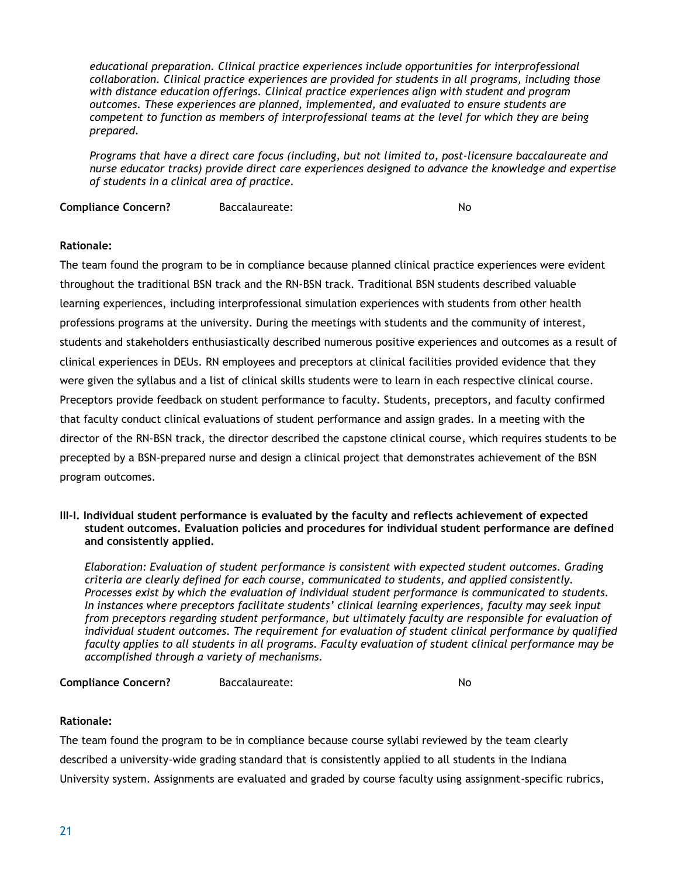*educational preparation. Clinical practice experiences include opportunities for interprofessional collaboration. Clinical practice experiences are provided for students in all programs, including those with distance education offerings. Clinical practice experiences align with student and program outcomes. These experiences are planned, implemented, and evaluated to ensure students are competent to function as members of interprofessional teams at the level for which they are being prepared.*

*Programs that have a direct care focus (including, but not limited to, post-licensure baccalaureate and nurse educator tracks) provide direct care experiences designed to advance the knowledge and expertise of students in a clinical area of practice.* 

**Compliance Concern?** Baccalaureate: No

#### **Rationale:**

The team found the program to be in compliance because planned clinical practice experiences were evident throughout the traditional BSN track and the RN-BSN track. Traditional BSN students described valuable learning experiences, including interprofessional simulation experiences with students from other health professions programs at the university. During the meetings with students and the community of interest, students and stakeholders enthusiastically described numerous positive experiences and outcomes as a result of clinical experiences in DEUs. RN employees and preceptors at clinical facilities provided evidence that they were given the syllabus and a list of clinical skills students were to learn in each respective clinical course. Preceptors provide feedback on student performance to faculty. Students, preceptors, and faculty confirmed that faculty conduct clinical evaluations of student performance and assign grades. In a meeting with the director of the RN-BSN track, the director described the capstone clinical course, which requires students to be precepted by a BSN-prepared nurse and design a clinical project that demonstrates achievement of the BSN program outcomes.

#### **III-I. Individual student performance is evaluated by the faculty and reflects achievement of expected student outcomes. Evaluation policies and procedures for individual student performance are defined and consistently applied.**

*Elaboration: Evaluation of student performance is consistent with expected student outcomes. Grading criteria are clearly defined for each course, communicated to students, and applied consistently. Processes exist by which the evaluation of individual student performance is communicated to students. In instances where preceptors facilitate students' clinical learning experiences, faculty may seek input from preceptors regarding student performance, but ultimately faculty are responsible for evaluation of individual student outcomes. The requirement for evaluation of student clinical performance by qualified faculty applies to all students in all programs. Faculty evaluation of student clinical performance may be accomplished through a variety of mechanisms.*

**Compliance Concern?** Baccalaureate: No

#### **Rationale:**

The team found the program to be in compliance because course syllabi reviewed by the team clearly described a university-wide grading standard that is consistently applied to all students in the Indiana University system. Assignments are evaluated and graded by course faculty using assignment-specific rubrics,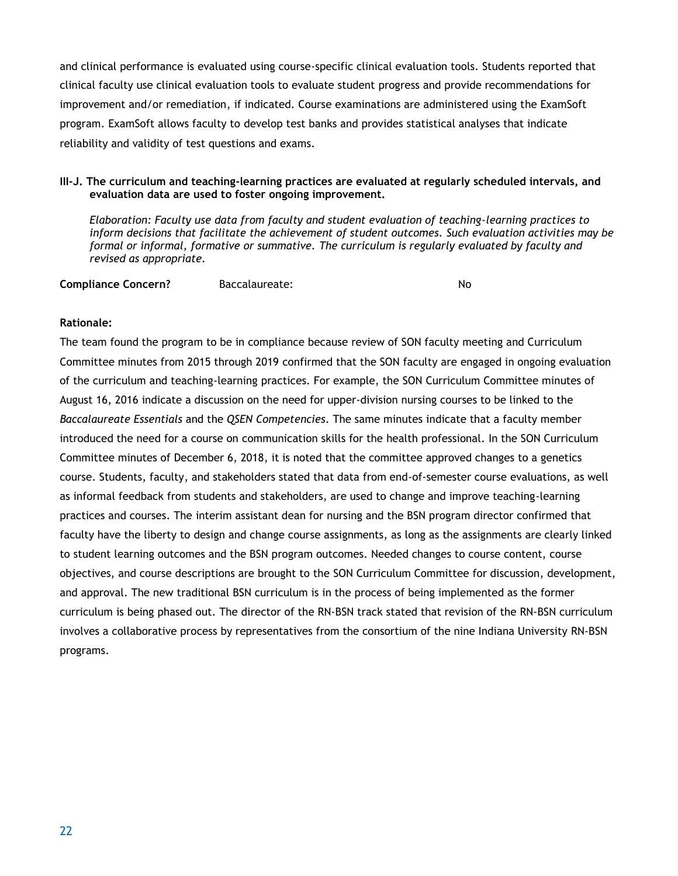and clinical performance is evaluated using course-specific clinical evaluation tools. Students reported that clinical faculty use clinical evaluation tools to evaluate student progress and provide recommendations for improvement and/or remediation, if indicated. Course examinations are administered using the ExamSoft program. ExamSoft allows faculty to develop test banks and provides statistical analyses that indicate reliability and validity of test questions and exams.

#### **III-J. The curriculum and teaching-learning practices are evaluated at regularly scheduled intervals, and evaluation data are used to foster ongoing improvement.**

*Elaboration: Faculty use data from faculty and student evaluation of teaching-learning practices to inform decisions that facilitate the achievement of student outcomes. Such evaluation activities may be formal or informal, formative or summative. The curriculum is regularly evaluated by faculty and revised as appropriate.* 

**Compliance Concern?** Baccalaureate: No

#### **Rationale:**

The team found the program to be in compliance because review of SON faculty meeting and Curriculum Committee minutes from 2015 through 2019 confirmed that the SON faculty are engaged in ongoing evaluation of the curriculum and teaching-learning practices. For example, the SON Curriculum Committee minutes of August 16, 2016 indicate a discussion on the need for upper-division nursing courses to be linked to the *Baccalaureate Essentials* and the *QSEN Competencies*. The same minutes indicate that a faculty member introduced the need for a course on communication skills for the health professional. In the SON Curriculum Committee minutes of December 6, 2018, it is noted that the committee approved changes to a genetics course. Students, faculty, and stakeholders stated that data from end-of-semester course evaluations, as well as informal feedback from students and stakeholders, are used to change and improve teaching-learning practices and courses. The interim assistant dean for nursing and the BSN program director confirmed that faculty have the liberty to design and change course assignments, as long as the assignments are clearly linked to student learning outcomes and the BSN program outcomes. Needed changes to course content, course objectives, and course descriptions are brought to the SON Curriculum Committee for discussion, development, and approval. The new traditional BSN curriculum is in the process of being implemented as the former curriculum is being phased out. The director of the RN-BSN track stated that revision of the RN-BSN curriculum involves a collaborative process by representatives from the consortium of the nine Indiana University RN-BSN programs.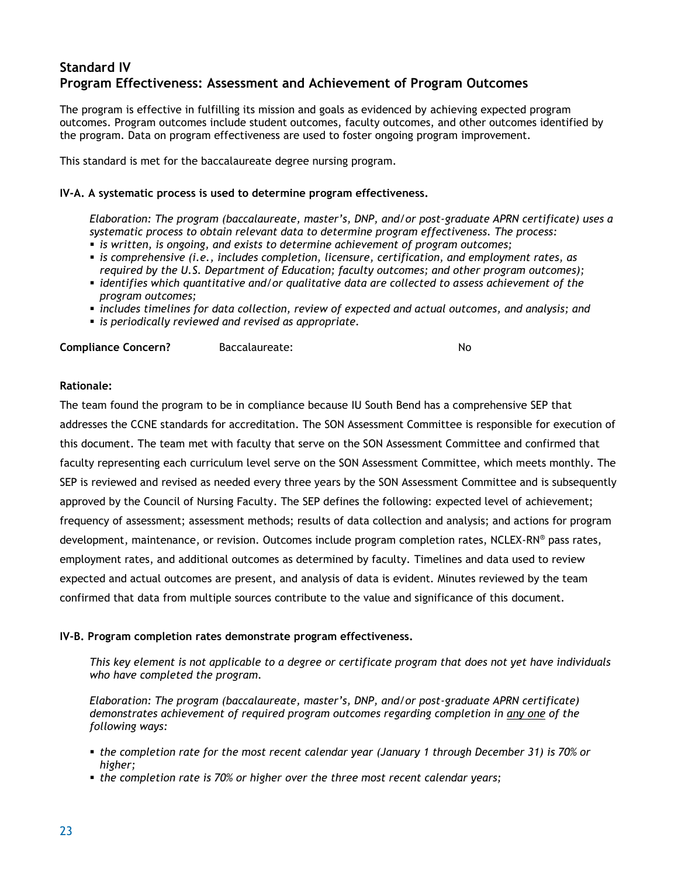## **Standard IV Program Effectiveness: Assessment and Achievement of Program Outcomes**

The program is effective in fulfilling its mission and goals as evidenced by achieving expected program outcomes. Program outcomes include student outcomes, faculty outcomes, and other outcomes identified by the program. Data on program effectiveness are used to foster ongoing program improvement.

This standard is met for the baccalaureate degree nursing program.

#### **IV-A. A systematic process is used to determine program effectiveness.**

*Elaboration: The program (baccalaureate, master's, DNP, and/or post-graduate APRN certificate) uses a systematic process to obtain relevant data to determine program effectiveness. The process:*

- *is written, is ongoing, and exists to determine achievement of program outcomes;*
- *is comprehensive (i.e., includes completion, licensure, certification, and employment rates, as required by the U.S. Department of Education; faculty outcomes; and other program outcomes);*
- *identifies which quantitative and/or qualitative data are collected to assess achievement of the program outcomes;*
- *includes timelines for data collection, review of expected and actual outcomes, and analysis; and*
- *is periodically reviewed and revised as appropriate.*

**Compliance Concern?** Baccalaureate: No

#### **Rationale:**

The team found the program to be in compliance because IU South Bend has a comprehensive SEP that addresses the CCNE standards for accreditation. The SON Assessment Committee is responsible for execution of this document. The team met with faculty that serve on the SON Assessment Committee and confirmed that faculty representing each curriculum level serve on the SON Assessment Committee, which meets monthly. The SEP is reviewed and revised as needed every three years by the SON Assessment Committee and is subsequently approved by the Council of Nursing Faculty. The SEP defines the following: expected level of achievement; frequency of assessment; assessment methods; results of data collection and analysis; and actions for program development, maintenance, or revision. Outcomes include program completion rates, NCLEX-RN® pass rates, employment rates, and additional outcomes as determined by faculty. Timelines and data used to review expected and actual outcomes are present, and analysis of data is evident. Minutes reviewed by the team confirmed that data from multiple sources contribute to the value and significance of this document.

#### **IV-B. Program completion rates demonstrate program effectiveness.**

*This key element is not applicable to a degree or certificate program that does not yet have individuals who have completed the program.* 

*Elaboration: The program (baccalaureate, master's, DNP, and/or post-graduate APRN certificate) demonstrates achievement of required program outcomes regarding completion in any one of the following ways:*

- *the completion rate for the most recent calendar year (January 1 through December 31) is 70% or higher;*
- *the completion rate is 70% or higher over the three most recent calendar years;*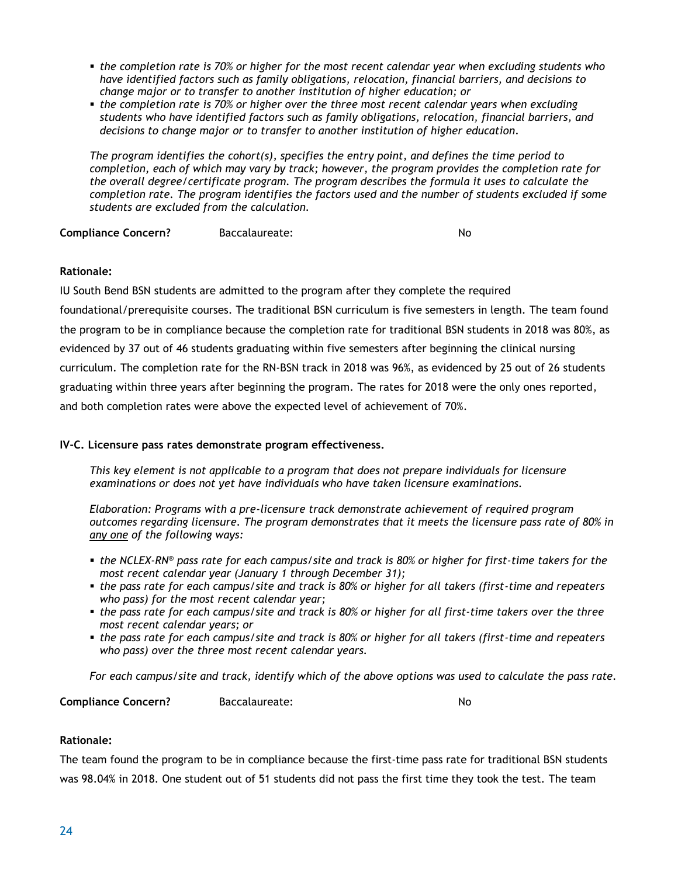- *the completion rate is 70% or higher for the most recent calendar year when excluding students who have identified factors such as family obligations, relocation, financial barriers, and decisions to change major or to transfer to another institution of higher education; or*
- **the completion rate is 70% or higher over the three most recent calendar years when excluding** *students who have identified factors such as family obligations, relocation, financial barriers, and decisions to change major or to transfer to another institution of higher education.*

*The program identifies the cohort(s), specifies the entry point, and defines the time period to completion, each of which may vary by track; however, the program provides the completion rate for the overall degree/certificate program. The program describes the formula it uses to calculate the completion rate. The program identifies the factors used and the number of students excluded if some students are excluded from the calculation.*

**Compliance Concern?** Baccalaureate: No

#### **Rationale:**

IU South Bend BSN students are admitted to the program after they complete the required

foundational/prerequisite courses. The traditional BSN curriculum is five semesters in length. The team found the program to be in compliance because the completion rate for traditional BSN students in 2018 was 80%, as evidenced by 37 out of 46 students graduating within five semesters after beginning the clinical nursing curriculum. The completion rate for the RN-BSN track in 2018 was 96%, as evidenced by 25 out of 26 students graduating within three years after beginning the program. The rates for 2018 were the only ones reported, and both completion rates were above the expected level of achievement of 70%.

#### **IV-C. Licensure pass rates demonstrate program effectiveness.**

*This key element is not applicable to a program that does not prepare individuals for licensure examinations or does not yet have individuals who have taken licensure examinations.* 

*Elaboration: Programs with a pre-licensure track demonstrate achievement of required program outcomes regarding licensure. The program demonstrates that it meets the licensure pass rate of 80% in any one of the following ways:*

- *the NCLEX-RN<sup>®</sup> pass rate for each campus/site and track is 80% or higher for first-time takers for the most recent calendar year (January 1 through December 31);*
- **the pass rate for each campus/site and track is 80% or higher for all takers (first-time and repeaters** *who pass) for the most recent calendar year;*
- *the pass rate for each campus/site and track is 80% or higher for all first-time takers over the three most recent calendar years; or*
- *the pass rate for each campus/site and track is 80% or higher for all takers (first-time and repeaters who pass) over the three most recent calendar years.*

*For each campus/site and track, identify which of the above options was used to calculate the pass rate.*

**Compliance Concern?** Baccalaureate: No

#### **Rationale:**

The team found the program to be in compliance because the first-time pass rate for traditional BSN students was 98.04% in 2018. One student out of 51 students did not pass the first time they took the test. The team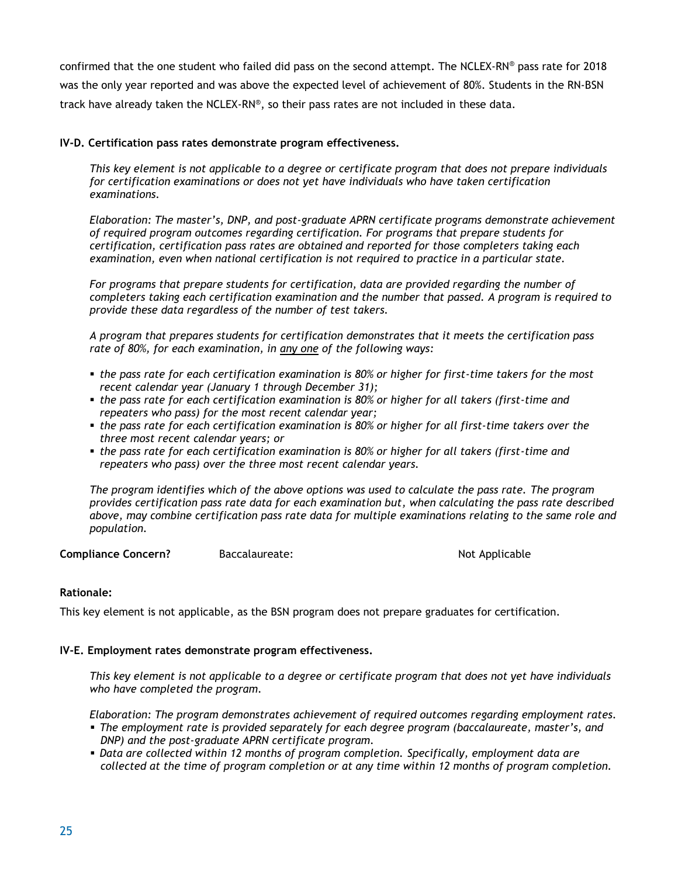confirmed that the one student who failed did pass on the second attempt. The NCLEX-RN® pass rate for 2018 was the only year reported and was above the expected level of achievement of 80%. Students in the RN-BSN track have already taken the NCLEX-RN® , so their pass rates are not included in these data.

#### **IV-D. Certification pass rates demonstrate program effectiveness.**

*This key element is not applicable to a degree or certificate program that does not prepare individuals for certification examinations or does not yet have individuals who have taken certification examinations.* 

*Elaboration: The master's, DNP, and post-graduate APRN certificate programs demonstrate achievement of required program outcomes regarding certification. For programs that prepare students for certification, certification pass rates are obtained and reported for those completers taking each examination, even when national certification is not required to practice in a particular state.*

*For programs that prepare students for certification, data are provided regarding the number of completers taking each certification examination and the number that passed. A program is required to provide these data regardless of the number of test takers.*

*A program that prepares students for certification demonstrates that it meets the certification pass rate of 80%, for each examination, in any one of the following ways:*

- *the pass rate for each certification examination is 80% or higher for first-time takers for the most recent calendar year (January 1 through December 31);*
- *the pass rate for each certification examination is 80% or higher for all takers (first-time and repeaters who pass) for the most recent calendar year;*
- *the pass rate for each certification examination is 80% or higher for all first-time takers over the three most recent calendar years; or*
- *the pass rate for each certification examination is 80% or higher for all takers (first-time and repeaters who pass) over the three most recent calendar years.*

*The program identifies which of the above options was used to calculate the pass rate. The program provides certification pass rate data for each examination but, when calculating the pass rate described above, may combine certification pass rate data for multiple examinations relating to the same role and population.*

**Compliance Concern?** Baccalaureate: Not Applicable **Not Applicable** 

#### **Rationale:**

This key element is not applicable, as the BSN program does not prepare graduates for certification.

#### **IV-E. Employment rates demonstrate program effectiveness.**

*This key element is not applicable to a degree or certificate program that does not yet have individuals who have completed the program.* 

*Elaboration: The program demonstrates achievement of required outcomes regarding employment rates.*

- *The employment rate is provided separately for each degree program (baccalaureate, master's, and DNP) and the post-graduate APRN certificate program.*
- *Data are collected within 12 months of program completion. Specifically, employment data are collected at the time of program completion or at any time within 12 months of program completion.*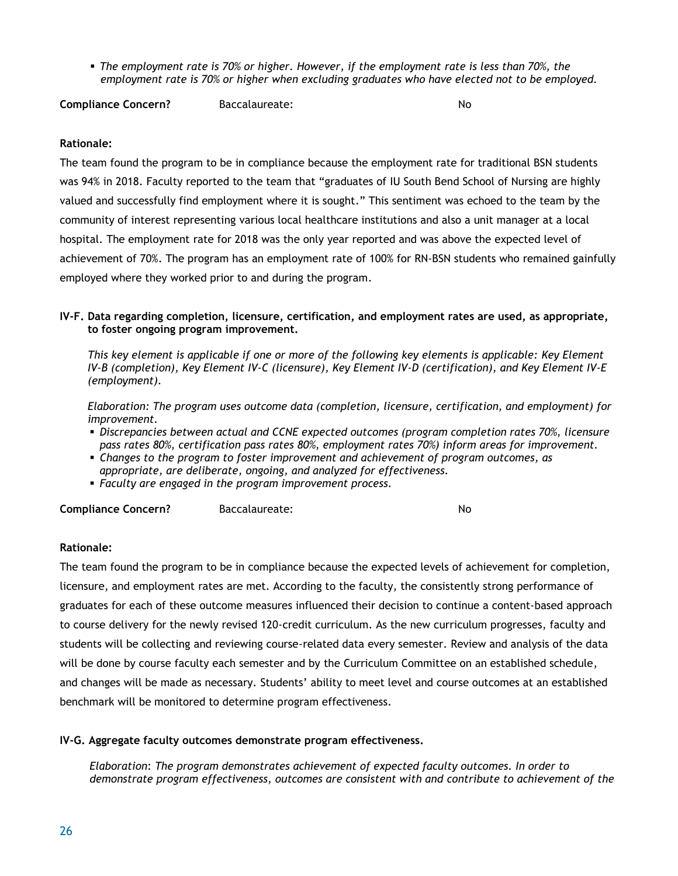▪ *The employment rate is 70% or higher. However, if the employment rate is less than 70%, the employment rate is 70% or higher when excluding graduates who have elected not to be employed.*

**Compliance Concern?** Baccalaureate: No

#### **Rationale:**

The team found the program to be in compliance because the employment rate for traditional BSN students was 94% in 2018. Faculty reported to the team that "graduates of IU South Bend School of Nursing are highly valued and successfully find employment where it is sought." This sentiment was echoed to the team by the community of interest representing various local healthcare institutions and also a unit manager at a local hospital. The employment rate for 2018 was the only year reported and was above the expected level of achievement of 70%. The program has an employment rate of 100% for RN-BSN students who remained gainfully employed where they worked prior to and during the program.

#### **IV-F. Data regarding completion, licensure, certification, and employment rates are used, as appropriate, to foster ongoing program improvement.**

*This key element is applicable if one or more of the following key elements is applicable: Key Element IV-B (completion), Key Element IV-C (licensure), Key Element IV-D (certification), and Key Element IV-E (employment).* 

*Elaboration: The program uses outcome data (completion, licensure, certification, and employment) for improvement.*

- *Discrepancies between actual and CCNE expected outcomes (program completion rates 70%, licensure pass rates 80%, certification pass rates 80%, employment rates 70%) inform areas for improvement.*
- *Changes to the program to foster improvement and achievement of program outcomes, as appropriate, are deliberate, ongoing, and analyzed for effectiveness.*
- *Faculty are engaged in the program improvement process.*

**Compliance Concern?** Baccalaureate: No

#### **Rationale:**

The team found the program to be in compliance because the expected levels of achievement for completion, licensure, and employment rates are met. According to the faculty, the consistently strong performance of graduates for each of these outcome measures influenced their decision to continue a content-based approach to course delivery for the newly revised 120-credit curriculum. As the new curriculum progresses, faculty and students will be collecting and reviewing course-related data every semester. Review and analysis of the data will be done by course faculty each semester and by the Curriculum Committee on an established schedule, and changes will be made as necessary. Students' ability to meet level and course outcomes at an established benchmark will be monitored to determine program effectiveness.

#### **IV-G. Aggregate faculty outcomes demonstrate program effectiveness.**

*Elaboration*: *The program demonstrates achievement of expected faculty outcomes. In order to demonstrate program effectiveness, outcomes are consistent with and contribute to achievement of the*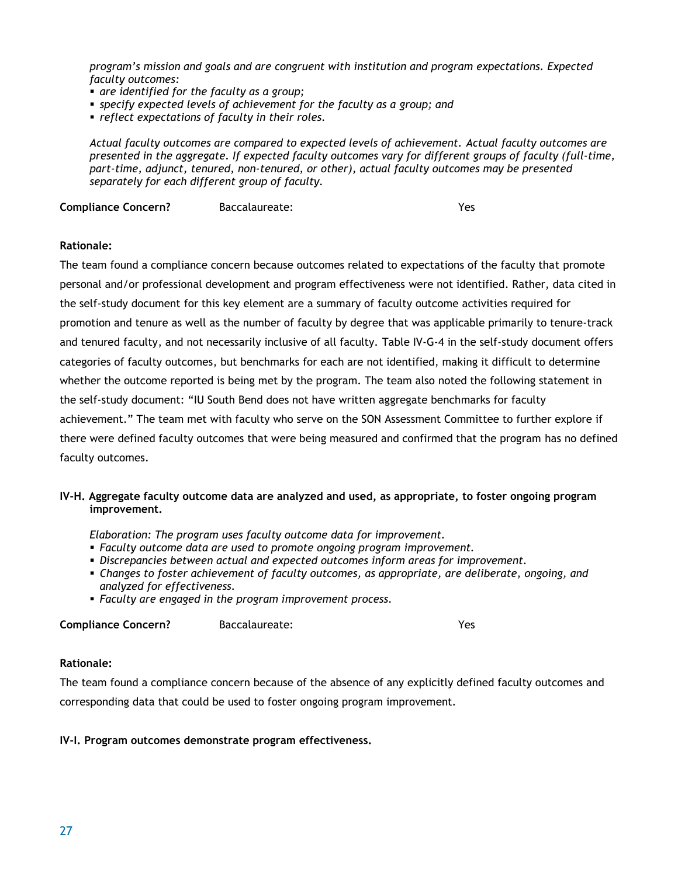*program's mission and goals and are congruent with institution and program expectations. Expected faculty outcomes:*

- *are identified for the faculty as a group;*
- *specify expected levels of achievement for the faculty as a group; and*
- *reflect expectations of faculty in their roles.*

*Actual faculty outcomes are compared to expected levels of achievement. Actual faculty outcomes are presented in the aggregate. If expected faculty outcomes vary for different groups of faculty (full-time, part-time, adjunct, tenured, non-tenured, or other), actual faculty outcomes may be presented separately for each different group of faculty.*

**Compliance Concern?** Baccalaureate: Yes

## **Rationale:**

The team found a compliance concern because outcomes related to expectations of the faculty that promote personal and/or professional development and program effectiveness were not identified. Rather, data cited in the self-study document for this key element are a summary of faculty outcome activities required for promotion and tenure as well as the number of faculty by degree that was applicable primarily to tenure-track and tenured faculty, and not necessarily inclusive of all faculty. Table IV-G-4 in the self-study document offers categories of faculty outcomes, but benchmarks for each are not identified, making it difficult to determine whether the outcome reported is being met by the program. The team also noted the following statement in the self-study document: "IU South Bend does not have written aggregate benchmarks for faculty achievement." The team met with faculty who serve on the SON Assessment Committee to further explore if there were defined faculty outcomes that were being measured and confirmed that the program has no defined faculty outcomes.

#### **IV-H. Aggregate faculty outcome data are analyzed and used, as appropriate, to foster ongoing program improvement.**

*Elaboration: The program uses faculty outcome data for improvement.*

- *Faculty outcome data are used to promote ongoing program improvement.*
- *Discrepancies between actual and expected outcomes inform areas for improvement.*
- *Changes to foster achievement of faculty outcomes, as appropriate, are deliberate, ongoing, and analyzed for effectiveness.*
- *Faculty are engaged in the program improvement process.*

**Compliance Concern?** Baccalaureate: Yes

#### **Rationale:**

The team found a compliance concern because of the absence of any explicitly defined faculty outcomes and corresponding data that could be used to foster ongoing program improvement.

#### **IV-I. Program outcomes demonstrate program effectiveness.**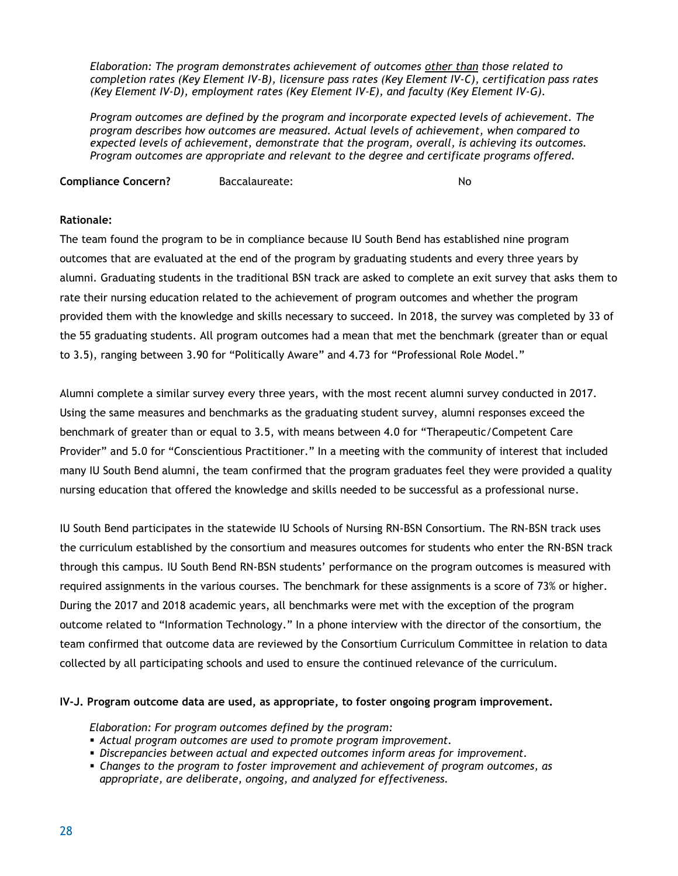*Elaboration: The program demonstrates achievement of outcomes other than those related to completion rates (Key Element IV-B), licensure pass rates (Key Element IV-C), certification pass rates (Key Element IV-D), employment rates (Key Element IV-E), and faculty (Key Element IV-G).* 

*Program outcomes are defined by the program and incorporate expected levels of achievement. The program describes how outcomes are measured. Actual levels of achievement, when compared to expected levels of achievement, demonstrate that the program, overall, is achieving its outcomes. Program outcomes are appropriate and relevant to the degree and certificate programs offered.*

**Compliance Concern?** Baccalaureate: No

#### **Rationale:**

The team found the program to be in compliance because IU South Bend has established nine program outcomes that are evaluated at the end of the program by graduating students and every three years by alumni. Graduating students in the traditional BSN track are asked to complete an exit survey that asks them to rate their nursing education related to the achievement of program outcomes and whether the program provided them with the knowledge and skills necessary to succeed. In 2018, the survey was completed by 33 of the 55 graduating students. All program outcomes had a mean that met the benchmark (greater than or equal to 3.5), ranging between 3.90 for "Politically Aware" and 4.73 for "Professional Role Model."

Alumni complete a similar survey every three years, with the most recent alumni survey conducted in 2017. Using the same measures and benchmarks as the graduating student survey, alumni responses exceed the benchmark of greater than or equal to 3.5, with means between 4.0 for "Therapeutic/Competent Care Provider" and 5.0 for "Conscientious Practitioner." In a meeting with the community of interest that included many IU South Bend alumni, the team confirmed that the program graduates feel they were provided a quality nursing education that offered the knowledge and skills needed to be successful as a professional nurse.

IU South Bend participates in the statewide IU Schools of Nursing RN-BSN Consortium. The RN-BSN track uses the curriculum established by the consortium and measures outcomes for students who enter the RN-BSN track through this campus. IU South Bend RN-BSN students' performance on the program outcomes is measured with required assignments in the various courses. The benchmark for these assignments is a score of 73% or higher. During the 2017 and 2018 academic years, all benchmarks were met with the exception of the program outcome related to "Information Technology." In a phone interview with the director of the consortium, the team confirmed that outcome data are reviewed by the Consortium Curriculum Committee in relation to data collected by all participating schools and used to ensure the continued relevance of the curriculum.

#### **IV-J. Program outcome data are used, as appropriate, to foster ongoing program improvement.**

*Elaboration: For program outcomes defined by the program:*

- *Actual program outcomes are used to promote program improvement.*
- *Discrepancies between actual and expected outcomes inform areas for improvement.*
- *Changes to the program to foster improvement and achievement of program outcomes, as appropriate, are deliberate, ongoing, and analyzed for effectiveness.*